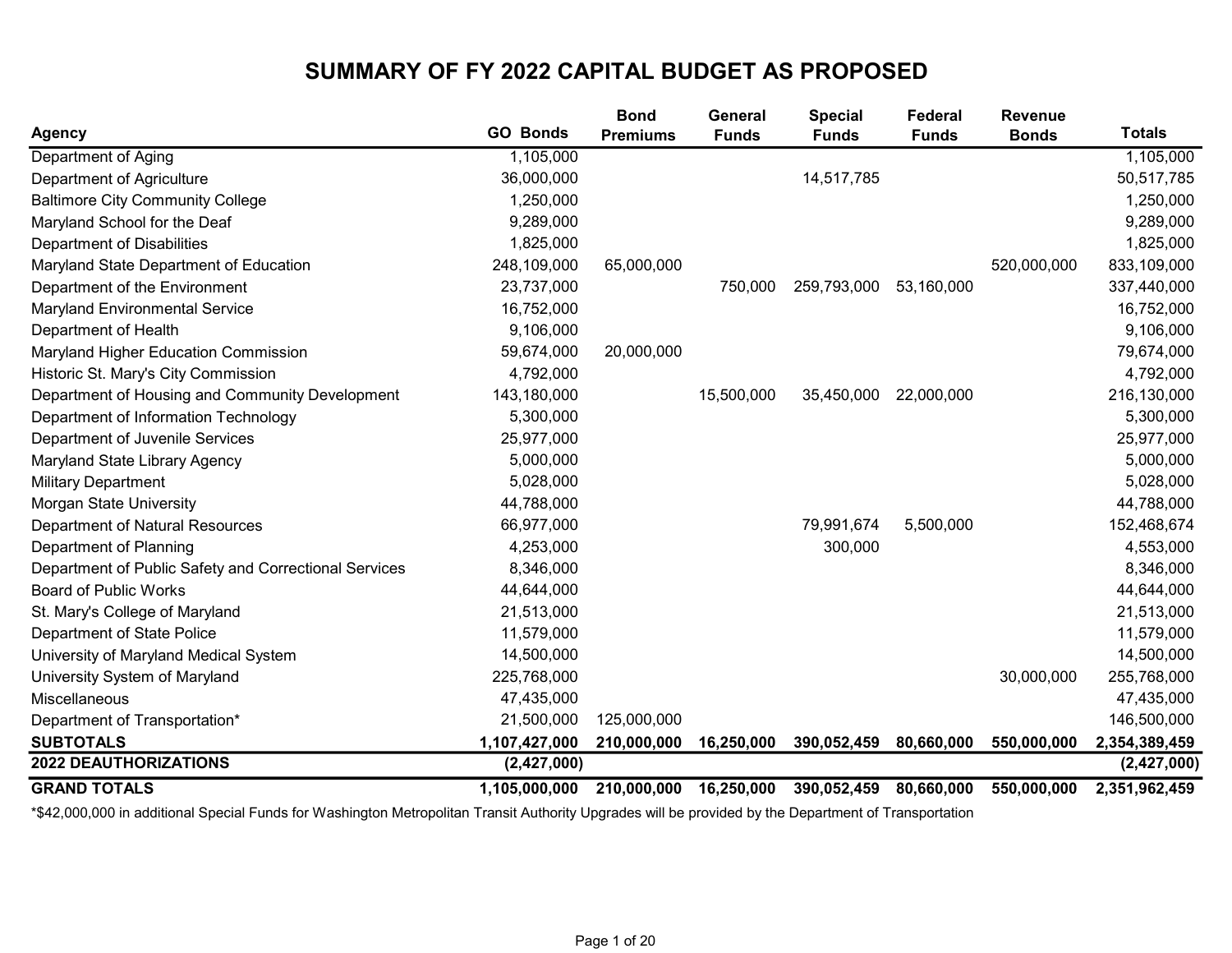## SUMMARY OF FY 2022 CAPITAL BUDGET AS PROPOSED

| <b>Agency</b>                                         | <b>GO Bonds</b> | <b>Bond</b><br><b>Premiums</b> | <b>General</b><br><b>Funds</b> | <b>Special</b><br><b>Funds</b> | Federal<br><b>Funds</b> | <b>Revenue</b><br><b>Bonds</b> | <b>Totals</b> |
|-------------------------------------------------------|-----------------|--------------------------------|--------------------------------|--------------------------------|-------------------------|--------------------------------|---------------|
| Department of Aging                                   | 1,105,000       |                                |                                |                                |                         |                                | 1,105,000     |
| Department of Agriculture                             | 36,000,000      |                                |                                | 14,517,785                     |                         |                                | 50,517,785    |
| <b>Baltimore City Community College</b>               | 1,250,000       |                                |                                |                                |                         |                                | 1,250,000     |
| Maryland School for the Deaf                          | 9,289,000       |                                |                                |                                |                         |                                | 9,289,000     |
| Department of Disabilities                            | 1,825,000       |                                |                                |                                |                         |                                | 1,825,000     |
| Maryland State Department of Education                | 248,109,000     | 65,000,000                     |                                |                                |                         | 520,000,000                    | 833,109,000   |
| Department of the Environment                         | 23,737,000      |                                | 750,000                        | 259,793,000                    | 53,160,000              |                                | 337,440,000   |
| Maryland Environmental Service                        | 16,752,000      |                                |                                |                                |                         |                                | 16,752,000    |
| Department of Health                                  | 9,106,000       |                                |                                |                                |                         |                                | 9,106,000     |
| Maryland Higher Education Commission                  | 59,674,000      | 20,000,000                     |                                |                                |                         |                                | 79,674,000    |
| Historic St. Mary's City Commission                   | 4,792,000       |                                |                                |                                |                         |                                | 4,792,000     |
| Department of Housing and Community Development       | 143,180,000     |                                | 15,500,000                     | 35,450,000                     | 22,000,000              |                                | 216,130,000   |
| Department of Information Technology                  | 5,300,000       |                                |                                |                                |                         |                                | 5,300,000     |
| Department of Juvenile Services                       | 25,977,000      |                                |                                |                                |                         |                                | 25,977,000    |
| Maryland State Library Agency                         | 5,000,000       |                                |                                |                                |                         |                                | 5,000,000     |
| <b>Military Department</b>                            | 5,028,000       |                                |                                |                                |                         |                                | 5,028,000     |
| Morgan State University                               | 44,788,000      |                                |                                |                                |                         |                                | 44,788,000    |
| Department of Natural Resources                       | 66,977,000      |                                |                                | 79,991,674                     | 5,500,000               |                                | 152,468,674   |
| Department of Planning                                | 4,253,000       |                                |                                | 300,000                        |                         |                                | 4,553,000     |
| Department of Public Safety and Correctional Services | 8,346,000       |                                |                                |                                |                         |                                | 8,346,000     |
| <b>Board of Public Works</b>                          | 44,644,000      |                                |                                |                                |                         |                                | 44,644,000    |
| St. Mary's College of Maryland                        | 21,513,000      |                                |                                |                                |                         |                                | 21,513,000    |
| Department of State Police                            | 11,579,000      |                                |                                |                                |                         |                                | 11,579,000    |
| University of Maryland Medical System                 | 14,500,000      |                                |                                |                                |                         |                                | 14,500,000    |
| University System of Maryland                         | 225,768,000     |                                |                                |                                |                         | 30,000,000                     | 255,768,000   |
| Miscellaneous                                         | 47,435,000      |                                |                                |                                |                         |                                | 47,435,000    |
| Department of Transportation*                         | 21,500,000      | 125,000,000                    |                                |                                |                         |                                | 146,500,000   |
| <b>SUBTOTALS</b>                                      | 1,107,427,000   | 210,000,000                    | 16,250,000                     | 390,052,459                    | 80,660,000              | 550,000,000                    | 2,354,389,459 |
| <b>2022 DEAUTHORIZATIONS</b>                          | (2, 427, 000)   |                                |                                |                                |                         |                                | (2,427,000)   |
| <b>GRAND TOTALS</b>                                   | 1,105,000,000   | 210,000,000                    | 16,250,000                     | 390,052,459                    | 80,660,000              | 550,000,000                    | 2,351,962,459 |

\*\$42,000,000 in additional Special Funds for Washington Metropolitan Transit Authority Upgrades will be provided by the Department of Transportation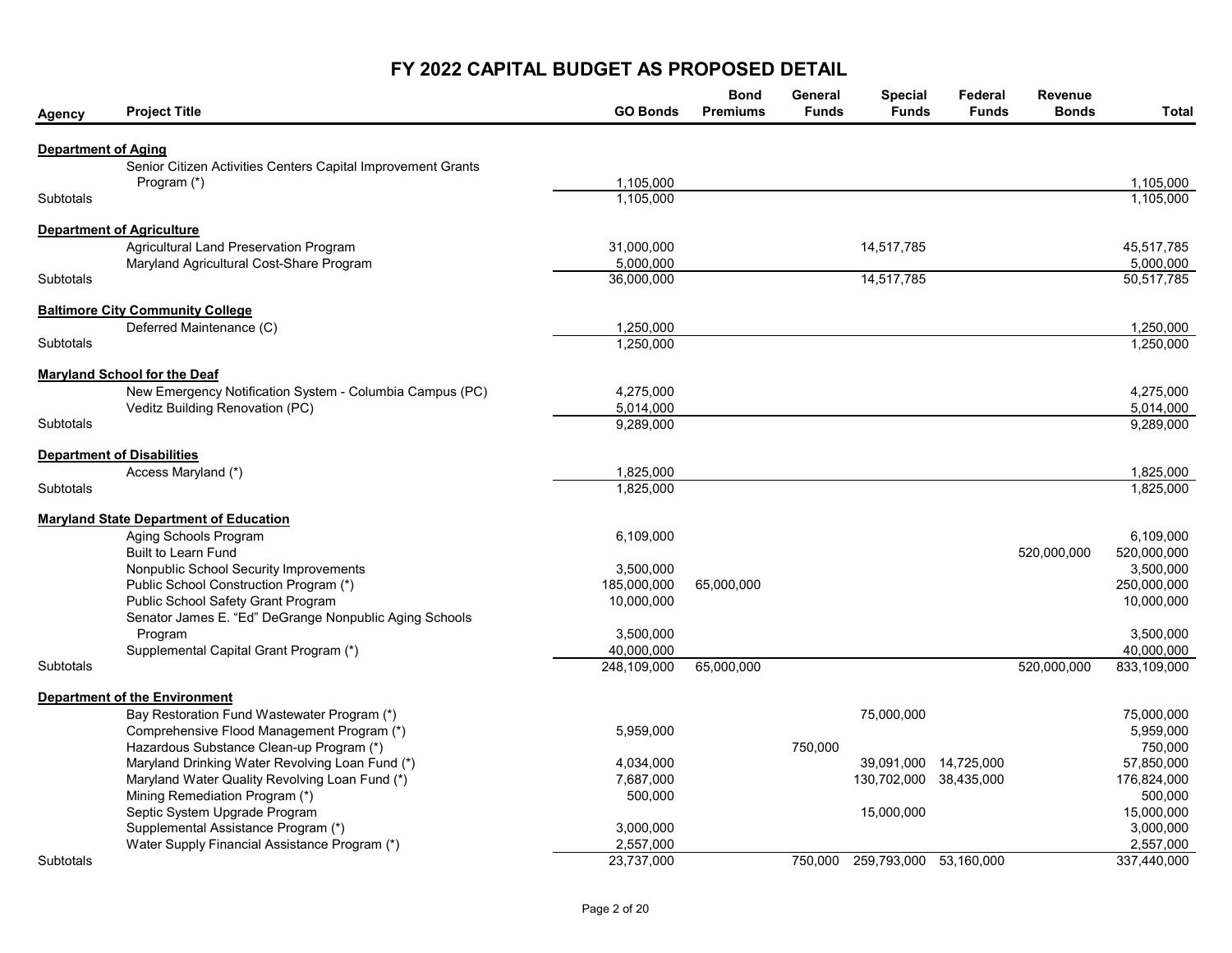## FY 2022 CAPITAL BUDGET AS PROPOSED DETAIL

| <b>Agency</b>              | <b>Project Title</b>                                            | <b>GO Bonds</b> | <b>Bond</b><br><b>Premiums</b> | General<br><b>Funds</b> | <b>Special</b><br><b>Funds</b> | Federal<br><b>Funds</b> | Revenue<br><b>Bonds</b> | <b>Total</b>          |
|----------------------------|-----------------------------------------------------------------|-----------------|--------------------------------|-------------------------|--------------------------------|-------------------------|-------------------------|-----------------------|
| <b>Department of Aging</b> |                                                                 |                 |                                |                         |                                |                         |                         |                       |
|                            | Senior Citizen Activities Centers Capital Improvement Grants    |                 |                                |                         |                                |                         |                         |                       |
|                            | Program (*)                                                     | 1.105.000       |                                |                         |                                |                         |                         | 1.105.000             |
| <b>Subtotals</b>           |                                                                 | 1,105,000       |                                |                         |                                |                         |                         | 1,105,000             |
|                            | <b>Department of Agriculture</b>                                |                 |                                |                         |                                |                         |                         |                       |
|                            | Agricultural Land Preservation Program                          | 31,000,000      |                                |                         | 14,517,785                     |                         |                         | 45,517,785            |
|                            | Maryland Agricultural Cost-Share Program                        | 5,000,000       |                                |                         |                                |                         |                         | 5,000,000             |
| <b>Subtotals</b>           |                                                                 | 36,000,000      |                                |                         | 14,517,785                     |                         |                         | 50,517,785            |
|                            | <b>Baltimore City Community College</b>                         |                 |                                |                         |                                |                         |                         |                       |
|                            | Deferred Maintenance (C)                                        | 1,250,000       |                                |                         |                                |                         |                         | 1,250,000             |
| Subtotals                  |                                                                 | 1,250,000       |                                |                         |                                |                         |                         | 1,250,000             |
|                            | <b>Maryland School for the Deaf</b>                             |                 |                                |                         |                                |                         |                         |                       |
|                            | New Emergency Notification System - Columbia Campus (PC)        | 4,275,000       |                                |                         |                                |                         |                         | 4,275,000             |
|                            | Veditz Building Renovation (PC)                                 | 5,014,000       |                                |                         |                                |                         |                         | 5,014,000             |
| <b>Subtotals</b>           |                                                                 | 9,289,000       |                                |                         |                                |                         |                         | 9,289,000             |
|                            | <b>Department of Disabilities</b>                               |                 |                                |                         |                                |                         |                         |                       |
|                            | Access Maryland (*)                                             | 1,825,000       |                                |                         |                                |                         |                         | 1,825,000             |
| <b>Subtotals</b>           |                                                                 | 1,825,000       |                                |                         |                                |                         |                         | 1,825,000             |
|                            | <b>Maryland State Department of Education</b>                   |                 |                                |                         |                                |                         |                         |                       |
|                            | Aging Schools Program                                           | 6,109,000       |                                |                         |                                |                         |                         | 6,109,000             |
|                            | <b>Built to Learn Fund</b>                                      |                 |                                |                         |                                |                         | 520,000,000             | 520,000,000           |
|                            | Nonpublic School Security Improvements                          | 3,500,000       |                                |                         |                                |                         |                         | 3,500,000             |
|                            | Public School Construction Program (*)                          | 185,000,000     | 65,000,000                     |                         |                                |                         |                         | 250,000,000           |
|                            | Public School Safety Grant Program                              | 10,000,000      |                                |                         |                                |                         |                         | 10,000,000            |
|                            | Senator James E. "Ed" DeGrange Nonpublic Aging Schools          |                 |                                |                         |                                |                         |                         |                       |
|                            | Program                                                         | 3,500,000       |                                |                         |                                |                         |                         | 3,500,000             |
|                            | Supplemental Capital Grant Program (*)                          | 40,000,000      |                                |                         |                                |                         |                         | 40,000,000            |
| <b>Subtotals</b>           |                                                                 | 248,109,000     | 65,000,000                     |                         |                                |                         | 520,000,000             | 833,109,000           |
|                            | <b>Department of the Environment</b>                            |                 |                                |                         |                                |                         |                         |                       |
|                            | Bay Restoration Fund Wastewater Program (*)                     |                 |                                |                         | 75,000,000                     |                         |                         | 75,000,000            |
|                            | Comprehensive Flood Management Program (*)                      | 5,959,000       |                                |                         |                                |                         |                         | 5,959,000             |
|                            | Hazardous Substance Clean-up Program (*)                        |                 |                                | 750,000                 |                                |                         |                         | 750,000               |
|                            | Maryland Drinking Water Revolving Loan Fund (*)                 | 4,034,000       |                                |                         |                                | 39,091,000 14,725,000   |                         | 57,850,000            |
|                            | Maryland Water Quality Revolving Loan Fund (*)                  | 7,687,000       |                                |                         | 130,702,000 38,435,000         |                         |                         | 176,824,000           |
|                            | Mining Remediation Program (*)<br>Septic System Upgrade Program | 500,000         |                                |                         |                                |                         |                         | 500,000<br>15,000,000 |
|                            | Supplemental Assistance Program (*)                             | 3,000,000       |                                |                         | 15,000,000                     |                         |                         | 3,000,000             |
|                            | Water Supply Financial Assistance Program (*)                   | 2,557,000       |                                |                         |                                |                         |                         | 2,557,000             |
| Subtotals                  |                                                                 | 23,737,000      |                                | 750,000                 | 259,793,000 53,160,000         |                         |                         | 337,440,000           |
|                            |                                                                 |                 |                                |                         |                                |                         |                         |                       |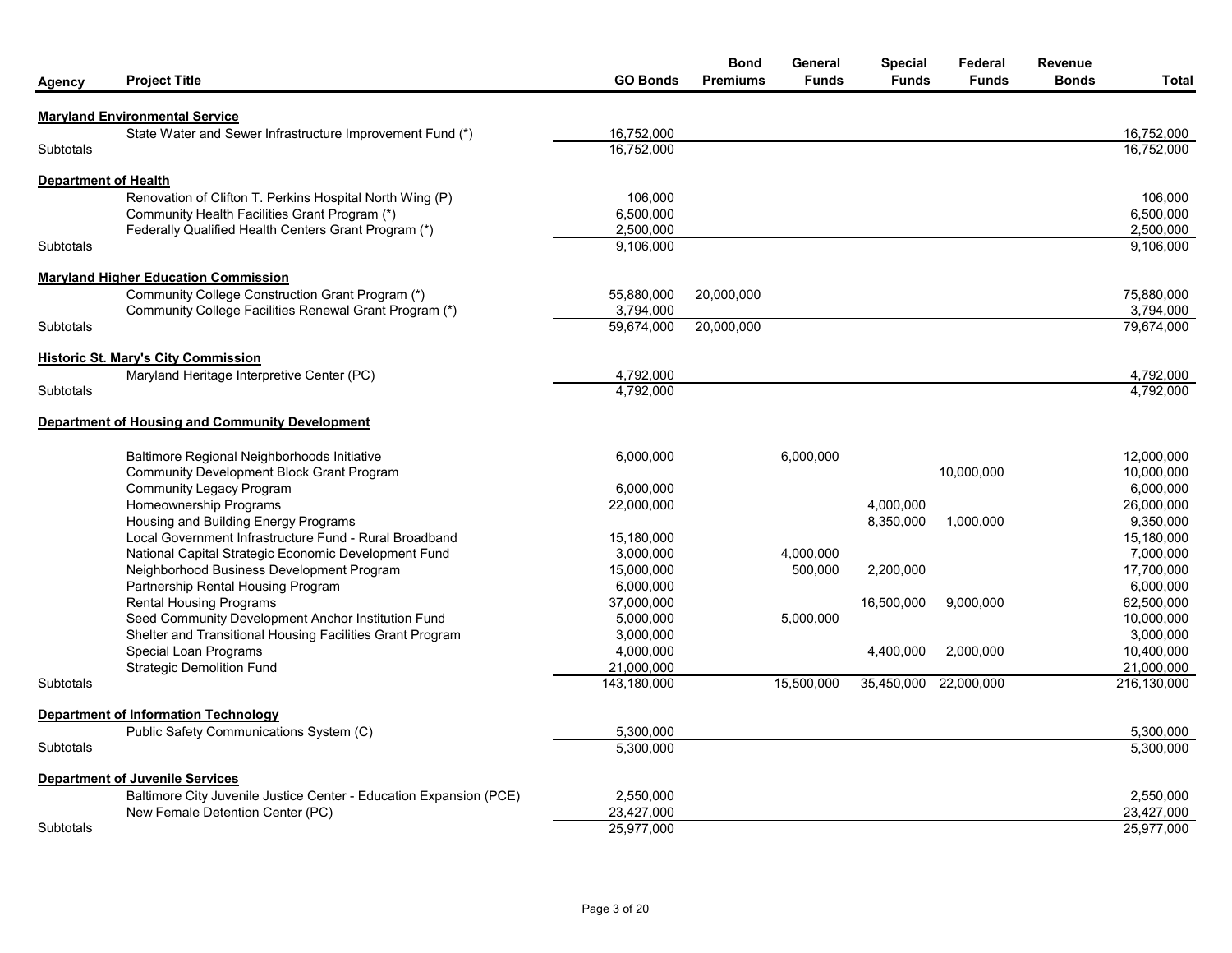| Agency               | <b>Project Title</b>                                                                                         | <b>GO Bonds</b>           | <b>Bond</b><br><b>Premiums</b> | General<br><b>Funds</b> | <b>Special</b><br><b>Funds</b> | Federal<br><b>Funds</b> | Revenue<br><b>Bonds</b> | Total                     |
|----------------------|--------------------------------------------------------------------------------------------------------------|---------------------------|--------------------------------|-------------------------|--------------------------------|-------------------------|-------------------------|---------------------------|
|                      | <b>Maryland Environmental Service</b>                                                                        |                           |                                |                         |                                |                         |                         |                           |
|                      | State Water and Sewer Infrastructure Improvement Fund (*)                                                    | 16.752.000                |                                |                         |                                |                         |                         | 16.752.000                |
| <b>Subtotals</b>     |                                                                                                              | 16,752,000                |                                |                         |                                |                         |                         | 16,752,000                |
| Department of Health |                                                                                                              |                           |                                |                         |                                |                         |                         |                           |
|                      | Renovation of Clifton T. Perkins Hospital North Wing (P)                                                     | 106,000                   |                                |                         |                                |                         |                         | 106,000                   |
|                      | Community Health Facilities Grant Program (*)                                                                | 6,500,000                 |                                |                         |                                |                         |                         | 6,500,000                 |
|                      | Federally Qualified Health Centers Grant Program (*)                                                         | 2,500,000                 |                                |                         |                                |                         |                         | 2,500,000                 |
| <b>Subtotals</b>     |                                                                                                              | 9,106,000                 |                                |                         |                                |                         |                         | 9,106,000                 |
|                      | <b>Maryland Higher Education Commission</b>                                                                  |                           |                                |                         |                                |                         |                         |                           |
|                      | Community College Construction Grant Program (*)                                                             | 55,880,000                | 20,000,000                     |                         |                                |                         |                         | 75,880,000                |
|                      | Community College Facilities Renewal Grant Program (*)                                                       | 3,794,000                 |                                |                         |                                |                         |                         | 3,794,000                 |
| <b>Subtotals</b>     |                                                                                                              | 59,674,000                | 20,000,000                     |                         |                                |                         |                         | 79,674,000                |
|                      | <b>Historic St. Mary's City Commission</b>                                                                   |                           |                                |                         |                                |                         |                         |                           |
|                      | Maryland Heritage Interpretive Center (PC)                                                                   | 4,792,000                 |                                |                         |                                |                         |                         | 4,792,000                 |
| <b>Subtotals</b>     |                                                                                                              | 4,792,000                 |                                |                         |                                |                         |                         | 4,792,000                 |
|                      | Department of Housing and Community Development                                                              |                           |                                |                         |                                |                         |                         |                           |
|                      | Baltimore Regional Neighborhoods Initiative                                                                  | 6,000,000                 |                                | 6,000,000               |                                |                         |                         | 12,000,000                |
|                      | <b>Community Development Block Grant Program</b>                                                             |                           |                                |                         |                                | 10,000,000              |                         | 10,000,000                |
|                      | <b>Community Legacy Program</b>                                                                              | 6,000,000                 |                                |                         |                                |                         |                         | 6,000,000                 |
|                      | Homeownership Programs                                                                                       | 22,000,000                |                                |                         | 4,000,000                      |                         |                         | 26,000,000                |
|                      | Housing and Building Energy Programs                                                                         |                           |                                |                         | 8,350,000                      | 1,000,000               |                         | 9,350,000                 |
|                      | Local Government Infrastructure Fund - Rural Broadband                                                       | 15,180,000                |                                |                         |                                |                         |                         | 15,180,000                |
|                      | National Capital Strategic Economic Development Fund                                                         | 3,000,000                 |                                | 4,000,000               |                                |                         |                         | 7,000,000                 |
|                      | Neighborhood Business Development Program                                                                    | 15,000,000                |                                | 500,000                 | 2,200,000                      |                         |                         | 17,700,000                |
|                      | Partnership Rental Housing Program                                                                           | 6,000,000                 |                                |                         |                                |                         |                         | 6,000,000                 |
|                      | <b>Rental Housing Programs</b>                                                                               | 37.000.000                |                                |                         | 16,500,000                     | 9,000,000               |                         | 62,500,000                |
|                      | Seed Community Development Anchor Institution Fund                                                           | 5,000,000                 |                                | 5,000,000               |                                |                         |                         | 10,000,000                |
|                      | Shelter and Transitional Housing Facilities Grant Program                                                    | 3,000,000                 |                                |                         |                                |                         |                         | 3,000,000                 |
|                      | Special Loan Programs                                                                                        | 4,000,000                 |                                |                         | 4,400,000                      | 2,000,000               |                         | 10,400,000                |
| Subtotals            | <b>Strategic Demolition Fund</b>                                                                             | 21,000,000<br>143,180,000 |                                | 15,500,000              | 35,450,000                     | 22,000,000              |                         | 21,000,000<br>216,130,000 |
|                      |                                                                                                              |                           |                                |                         |                                |                         |                         |                           |
|                      | <b>Department of Information Technology</b><br>Public Safety Communications System (C)                       | 5,300,000                 |                                |                         |                                |                         |                         | 5,300,000                 |
| Subtotals            |                                                                                                              | 5,300,000                 |                                |                         |                                |                         |                         | 5,300,000                 |
|                      |                                                                                                              |                           |                                |                         |                                |                         |                         |                           |
|                      | <b>Department of Juvenile Services</b><br>Baltimore City Juvenile Justice Center - Education Expansion (PCE) | 2,550,000                 |                                |                         |                                |                         |                         | 2,550,000                 |
|                      | New Female Detention Center (PC)                                                                             | 23,427,000                |                                |                         |                                |                         |                         | 23,427,000                |
| <b>Subtotals</b>     |                                                                                                              | 25,977,000                |                                |                         |                                |                         |                         | 25,977,000                |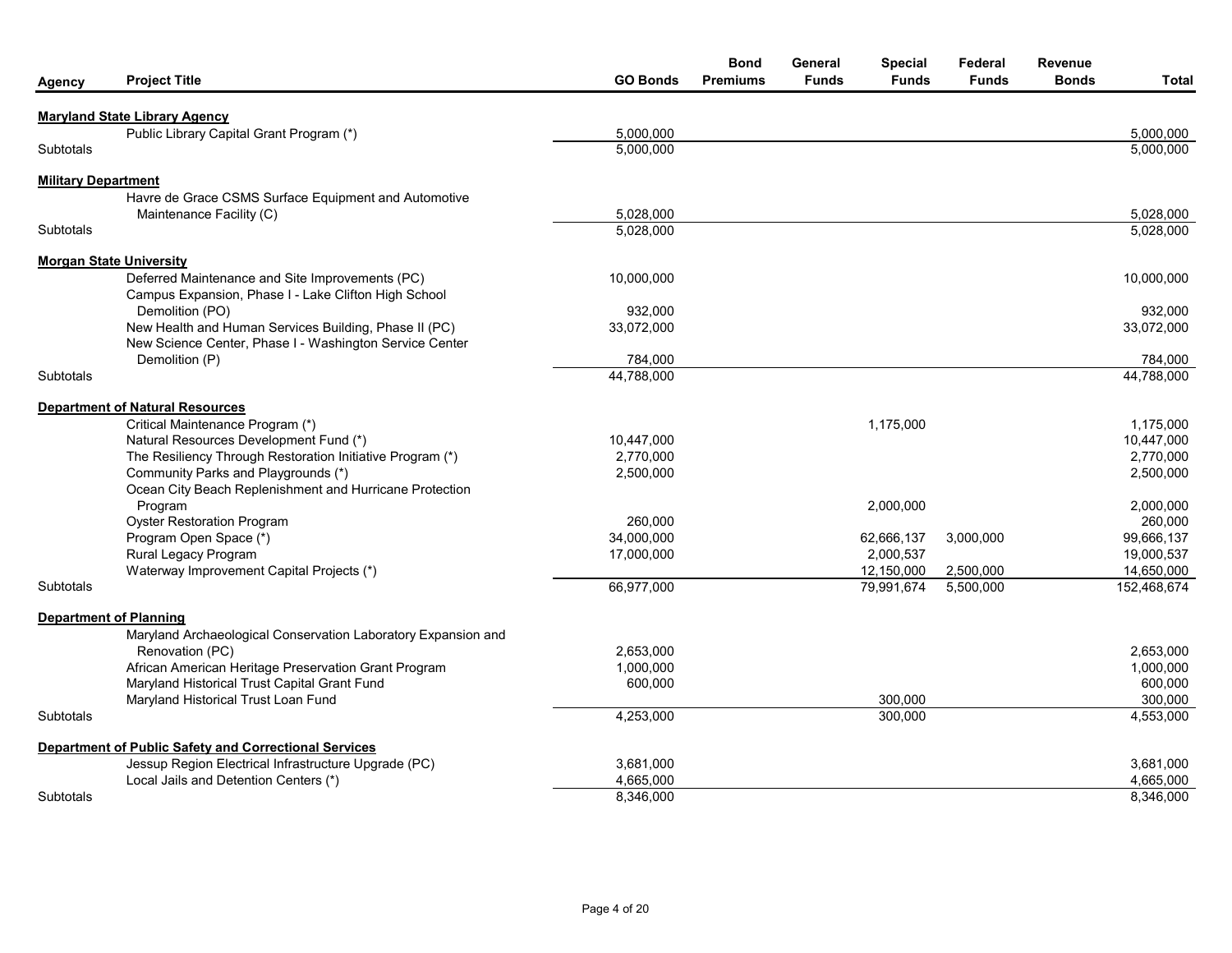| Agency                     | <b>Project Title</b>                                                                                             | <b>GO Bonds</b> | <b>Bond</b><br><b>Premiums</b> | General<br><b>Funds</b> | <b>Special</b><br><b>Funds</b> | Federal<br><b>Funds</b> | <b>Revenue</b><br><b>Bonds</b> | Total       |
|----------------------------|------------------------------------------------------------------------------------------------------------------|-----------------|--------------------------------|-------------------------|--------------------------------|-------------------------|--------------------------------|-------------|
|                            | <b>Maryland State Library Agency</b>                                                                             |                 |                                |                         |                                |                         |                                |             |
|                            | Public Library Capital Grant Program (*)                                                                         | 5,000,000       |                                |                         |                                |                         |                                | 5,000,000   |
| Subtotals                  |                                                                                                                  | 5,000,000       |                                |                         |                                |                         |                                | 5,000,000   |
| <b>Military Department</b> |                                                                                                                  |                 |                                |                         |                                |                         |                                |             |
|                            | Havre de Grace CSMS Surface Equipment and Automotive                                                             |                 |                                |                         |                                |                         |                                |             |
|                            | Maintenance Facility (C)                                                                                         | 5,028,000       |                                |                         |                                |                         |                                | 5,028,000   |
| <b>Subtotals</b>           |                                                                                                                  | 5,028,000       |                                |                         |                                |                         |                                | 5,028,000   |
|                            | <b>Morgan State University</b>                                                                                   |                 |                                |                         |                                |                         |                                |             |
|                            | Deferred Maintenance and Site Improvements (PC)                                                                  | 10,000,000      |                                |                         |                                |                         |                                | 10,000,000  |
|                            | Campus Expansion, Phase I - Lake Clifton High School                                                             |                 |                                |                         |                                |                         |                                |             |
|                            | Demolition (PO)                                                                                                  | 932,000         |                                |                         |                                |                         |                                | 932,000     |
|                            | New Health and Human Services Building, Phase II (PC)<br>New Science Center, Phase I - Washington Service Center | 33,072,000      |                                |                         |                                |                         |                                | 33,072,000  |
|                            | Demolition (P)                                                                                                   | 784,000         |                                |                         |                                |                         |                                | 784,000     |
| Subtotals                  |                                                                                                                  | 44,788,000      |                                |                         |                                |                         |                                | 44,788,000  |
|                            |                                                                                                                  |                 |                                |                         |                                |                         |                                |             |
|                            | <b>Department of Natural Resources</b>                                                                           |                 |                                |                         |                                |                         |                                |             |
|                            | Critical Maintenance Program (*)                                                                                 |                 |                                |                         | 1,175,000                      |                         |                                | 1,175,000   |
|                            | Natural Resources Development Fund (*)                                                                           | 10,447,000      |                                |                         |                                |                         |                                | 10,447,000  |
|                            | The Resiliency Through Restoration Initiative Program (*)                                                        | 2,770,000       |                                |                         |                                |                         |                                | 2,770,000   |
|                            | Community Parks and Playgrounds (*)                                                                              | 2,500,000       |                                |                         |                                |                         |                                | 2,500,000   |
|                            | Ocean City Beach Replenishment and Hurricane Protection                                                          |                 |                                |                         |                                |                         |                                |             |
|                            | Program                                                                                                          |                 |                                |                         | 2,000,000                      |                         |                                | 2,000,000   |
|                            | <b>Oyster Restoration Program</b>                                                                                | 260,000         |                                |                         |                                |                         |                                | 260,000     |
|                            | Program Open Space (*)                                                                                           | 34,000,000      |                                |                         | 62,666,137                     | 3,000,000               |                                | 99,666,137  |
|                            | Rural Legacy Program                                                                                             | 17,000,000      |                                |                         | 2,000,537                      |                         |                                | 19,000,537  |
|                            | Waterway Improvement Capital Projects (*)                                                                        |                 |                                |                         | 12,150,000                     | 2,500,000               |                                | 14,650,000  |
| <b>Subtotals</b>           |                                                                                                                  | 66,977,000      |                                |                         | 79,991,674                     | 5,500,000               |                                | 152,468,674 |
|                            | <b>Department of Planning</b>                                                                                    |                 |                                |                         |                                |                         |                                |             |
|                            | Maryland Archaeological Conservation Laboratory Expansion and                                                    |                 |                                |                         |                                |                         |                                |             |
|                            | Renovation (PC)                                                                                                  | 2,653,000       |                                |                         |                                |                         |                                | 2,653,000   |
|                            | African American Heritage Preservation Grant Program                                                             | 1,000,000       |                                |                         |                                |                         |                                | 1,000,000   |
|                            | Maryland Historical Trust Capital Grant Fund                                                                     | 600,000         |                                |                         |                                |                         |                                | 600,000     |
|                            | Maryland Historical Trust Loan Fund                                                                              |                 |                                |                         | 300,000                        |                         |                                | 300,000     |
| Subtotals                  |                                                                                                                  | 4,253,000       |                                |                         | 300,000                        |                         |                                | 4,553,000   |
|                            | Department of Public Safety and Correctional Services                                                            |                 |                                |                         |                                |                         |                                |             |
|                            | Jessup Region Electrical Infrastructure Upgrade (PC)                                                             | 3,681,000       |                                |                         |                                |                         |                                | 3,681,000   |
|                            | Local Jails and Detention Centers (*)                                                                            | 4,665,000       |                                |                         |                                |                         |                                | 4,665,000   |
| <b>Subtotals</b>           |                                                                                                                  | 8,346,000       |                                |                         |                                |                         |                                | 8,346,000   |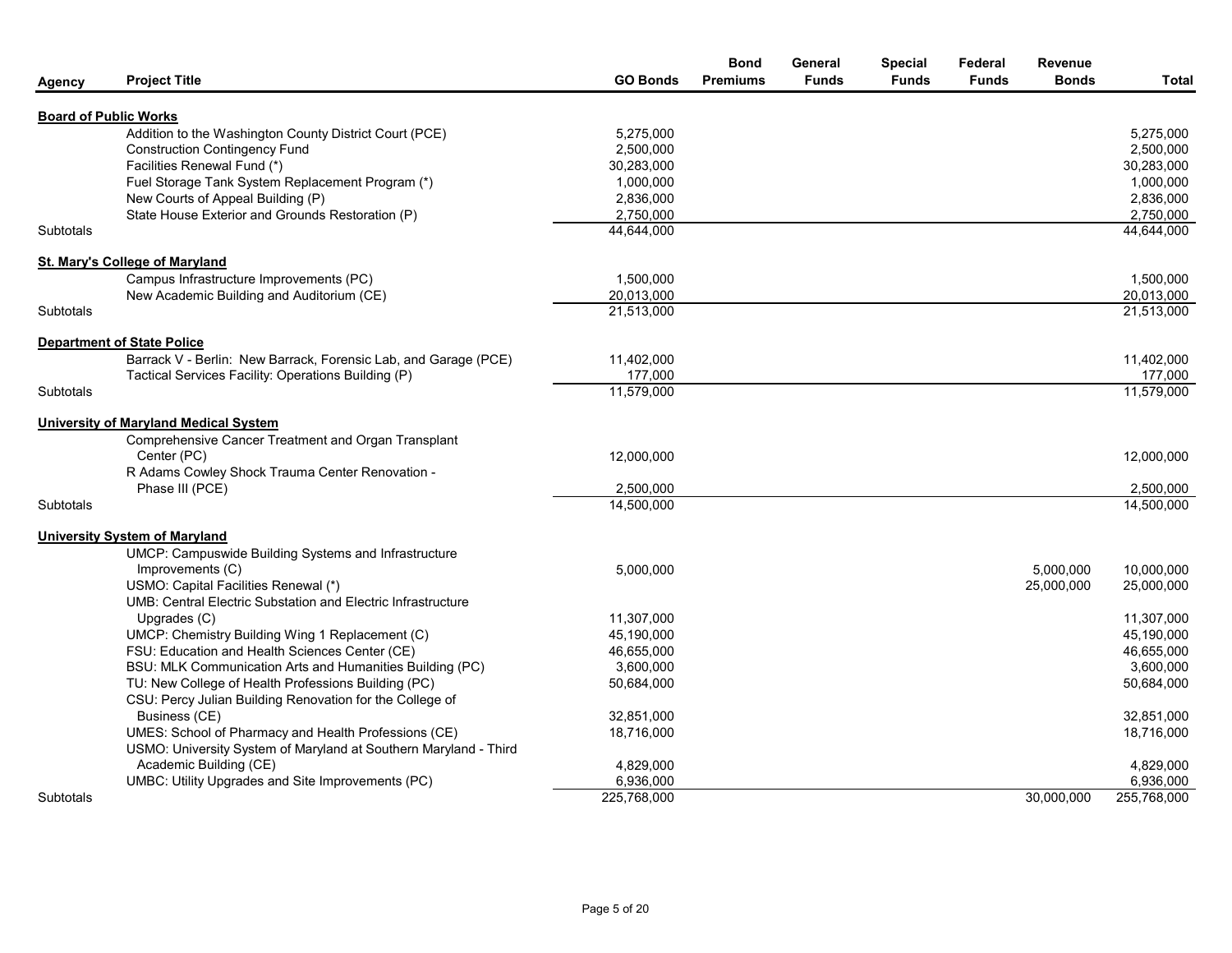| <b>Agency</b>    | <b>Project Title</b>                                             | <b>GO Bonds</b>          | <b>Bond</b><br><b>Premiums</b> | General<br><b>Funds</b> | <b>Special</b><br><b>Funds</b> | Federal<br><b>Funds</b> | Revenue<br><b>Bonds</b> | Total       |
|------------------|------------------------------------------------------------------|--------------------------|--------------------------------|-------------------------|--------------------------------|-------------------------|-------------------------|-------------|
|                  | <b>Board of Public Works</b>                                     |                          |                                |                         |                                |                         |                         |             |
|                  | Addition to the Washington County District Court (PCE)           | 5,275,000                |                                |                         |                                |                         |                         | 5,275,000   |
|                  | <b>Construction Contingency Fund</b>                             | 2,500,000                |                                |                         |                                |                         |                         | 2,500,000   |
|                  | Facilities Renewal Fund (*)                                      | 30,283,000               |                                |                         |                                |                         |                         | 30,283,000  |
|                  | Fuel Storage Tank System Replacement Program (*)                 | 1,000,000                |                                |                         |                                |                         |                         | 1,000,000   |
|                  | New Courts of Appeal Building (P)                                | 2,836,000                |                                |                         |                                |                         |                         | 2,836,000   |
|                  | State House Exterior and Grounds Restoration (P)                 | 2,750,000                |                                |                         |                                |                         |                         | 2,750,000   |
| Subtotals        |                                                                  | 44,644,000               |                                |                         |                                |                         |                         | 44,644,000  |
|                  | <b>St. Mary's College of Maryland</b>                            |                          |                                |                         |                                |                         |                         |             |
|                  | Campus Infrastructure Improvements (PC)                          | 1,500,000                |                                |                         |                                |                         |                         | 1,500,000   |
|                  | New Academic Building and Auditorium (CE)                        | 20,013,000               |                                |                         |                                |                         |                         | 20,013,000  |
| Subtotals        |                                                                  | 21,513,000               |                                |                         |                                |                         |                         | 21,513,000  |
|                  | <b>Department of State Police</b>                                |                          |                                |                         |                                |                         |                         |             |
|                  | Barrack V - Berlin: New Barrack, Forensic Lab, and Garage (PCE)  | 11,402,000               |                                |                         |                                |                         |                         | 11,402,000  |
|                  | Tactical Services Facility: Operations Building (P)              | 177,000                  |                                |                         |                                |                         |                         | 177,000     |
| Subtotals        |                                                                  | 11,579,000               |                                |                         |                                |                         |                         | 11,579,000  |
|                  | <b>University of Maryland Medical System</b>                     |                          |                                |                         |                                |                         |                         |             |
|                  | Comprehensive Cancer Treatment and Organ Transplant              |                          |                                |                         |                                |                         |                         |             |
|                  | Center (PC)                                                      | 12,000,000               |                                |                         |                                |                         |                         | 12,000,000  |
|                  | R Adams Cowley Shock Trauma Center Renovation -                  |                          |                                |                         |                                |                         |                         |             |
|                  | Phase III (PCE)                                                  | 2,500,000                |                                |                         |                                |                         |                         | 2,500,000   |
| <b>Subtotals</b> |                                                                  | 14,500,000               |                                |                         |                                |                         |                         | 14,500,000  |
|                  | <b>University System of Maryland</b>                             |                          |                                |                         |                                |                         |                         |             |
|                  | UMCP: Campuswide Building Systems and Infrastructure             |                          |                                |                         |                                |                         |                         |             |
|                  | Improvements (C)                                                 | 5,000,000                |                                |                         |                                |                         | 5,000,000               | 10.000.000  |
|                  | USMO: Capital Facilities Renewal (*)                             |                          |                                |                         |                                |                         | 25,000,000              | 25,000,000  |
|                  | UMB: Central Electric Substation and Electric Infrastructure     |                          |                                |                         |                                |                         |                         | 11,307,000  |
|                  | Upgrades (C)<br>UMCP: Chemistry Building Wing 1 Replacement (C)  | 11,307,000<br>45,190,000 |                                |                         |                                |                         |                         | 45,190,000  |
|                  | FSU: Education and Health Sciences Center (CE)                   | 46.655.000               |                                |                         |                                |                         |                         | 46.655.000  |
|                  | BSU: MLK Communication Arts and Humanities Building (PC)         | 3,600,000                |                                |                         |                                |                         |                         | 3,600,000   |
|                  | TU: New College of Health Professions Building (PC)              | 50,684,000               |                                |                         |                                |                         |                         | 50,684,000  |
|                  | CSU: Percy Julian Building Renovation for the College of         |                          |                                |                         |                                |                         |                         |             |
|                  | Business (CE)                                                    | 32,851,000               |                                |                         |                                |                         |                         | 32,851,000  |
|                  | UMES: School of Pharmacy and Health Professions (CE)             | 18,716,000               |                                |                         |                                |                         |                         | 18,716,000  |
|                  | USMO: University System of Maryland at Southern Maryland - Third |                          |                                |                         |                                |                         |                         |             |
|                  | Academic Building (CE)                                           | 4,829,000                |                                |                         |                                |                         |                         | 4,829,000   |
|                  | UMBC: Utility Upgrades and Site Improvements (PC)                | 6,936,000                |                                |                         |                                |                         |                         | 6,936,000   |
| Subtotals        |                                                                  | 225,768,000              |                                |                         |                                |                         | 30.000.000              | 255,768,000 |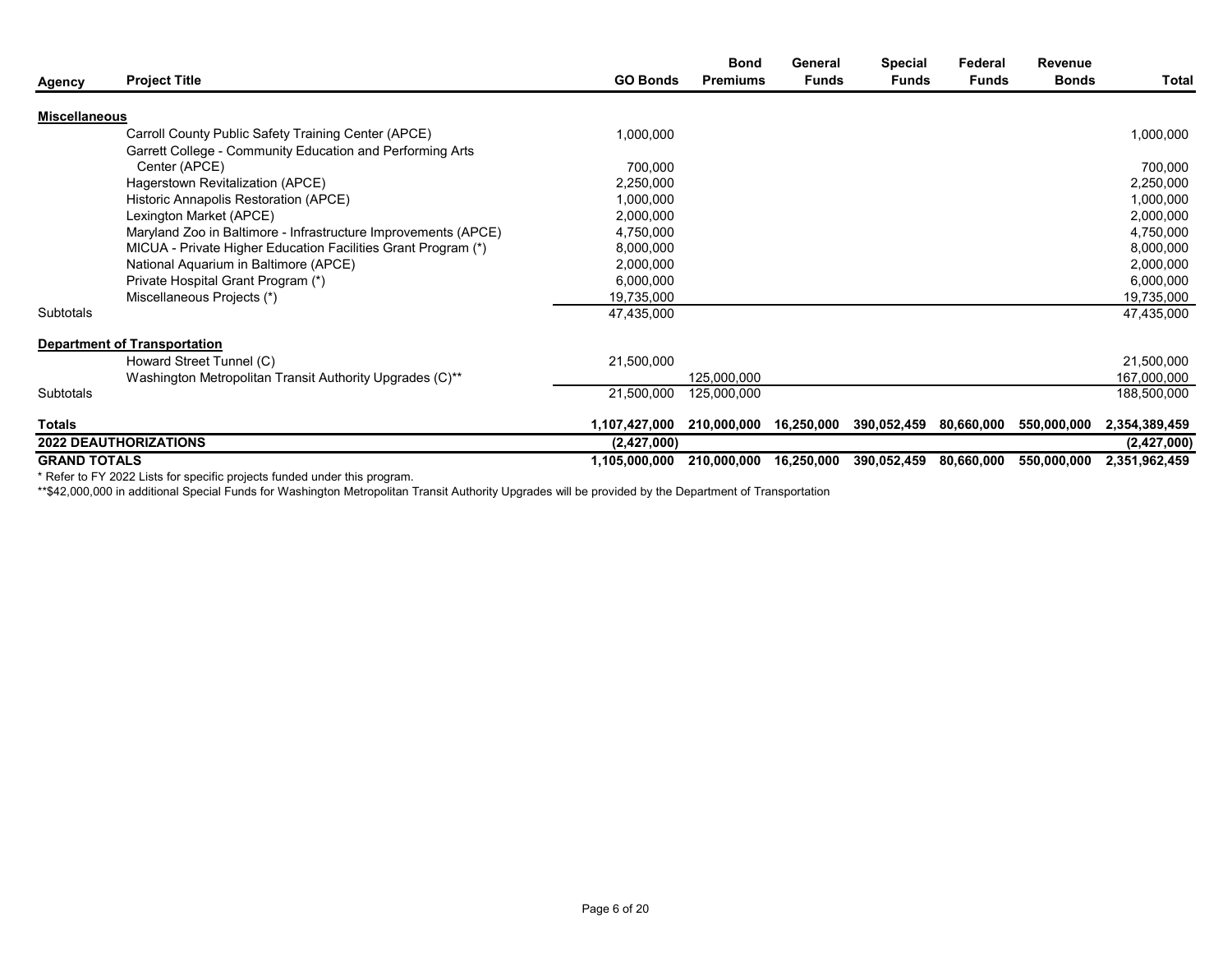|                      |                                                                          |                 | <b>Bond</b>     | General      | <b>Special</b> | Federal      | Revenue      |               |
|----------------------|--------------------------------------------------------------------------|-----------------|-----------------|--------------|----------------|--------------|--------------|---------------|
| Agency               | <b>Project Title</b>                                                     | <b>GO Bonds</b> | <b>Premiums</b> | <b>Funds</b> | <b>Funds</b>   | <b>Funds</b> | <b>Bonds</b> | Total         |
| <b>Miscellaneous</b> |                                                                          |                 |                 |              |                |              |              |               |
|                      | Carroll County Public Safety Training Center (APCE)                      | 1,000,000       |                 |              |                |              |              | 1,000,000     |
|                      | Garrett College - Community Education and Performing Arts                |                 |                 |              |                |              |              |               |
|                      | Center (APCE)                                                            | 700,000         |                 |              |                |              |              | 700,000       |
|                      | Hagerstown Revitalization (APCE)                                         | 2,250,000       |                 |              |                |              |              | 2,250,000     |
|                      | Historic Annapolis Restoration (APCE)                                    | 1,000,000       |                 |              |                |              |              | 1,000,000     |
|                      | Lexington Market (APCE)                                                  | 2,000,000       |                 |              |                |              |              | 2,000,000     |
|                      | Maryland Zoo in Baltimore - Infrastructure Improvements (APCE)           | 4,750,000       |                 |              |                |              |              | 4,750,000     |
|                      | MICUA - Private Higher Education Facilities Grant Program (*)            | 8,000,000       |                 |              |                |              |              | 8,000,000     |
|                      | National Aquarium in Baltimore (APCE)                                    | 2,000,000       |                 |              |                |              |              | 2,000,000     |
|                      | Private Hospital Grant Program (*)                                       | 6,000,000       |                 |              |                |              |              | 6,000,000     |
|                      | Miscellaneous Projects (*)                                               | 19,735,000      |                 |              |                |              |              | 19,735,000    |
| Subtotals            |                                                                          | 47,435,000      |                 |              |                |              |              | 47,435,000    |
|                      | <b>Department of Transportation</b>                                      |                 |                 |              |                |              |              |               |
|                      | Howard Street Tunnel (C)                                                 | 21,500,000      |                 |              |                |              |              | 21,500,000    |
|                      | Washington Metropolitan Transit Authority Upgrades (C)**                 |                 | 125,000,000     |              |                |              |              | 167,000,000   |
| Subtotals            |                                                                          | 21,500,000      | 125,000,000     |              |                |              |              | 188,500,000   |
| Totals               |                                                                          | 1,107,427,000   | 210,000,000     | 16,250,000   | 390,052,459    | 80,660,000   | 550,000,000  | 2,354,389,459 |
|                      | <b>2022 DEAUTHORIZATIONS</b>                                             | (2, 427, 000)   |                 |              |                |              |              | (2, 427, 000) |
| <b>GRAND TOTALS</b>  |                                                                          | 1,105,000,000   | 210,000,000     | 16,250,000   | 390,052,459    | 80,660,000   | 550,000,000  | 2,351,962,459 |
|                      | * Defer to EV 2022 Lists for appelfic projects funded under this program |                 |                 |              |                |              |              |               |

\* Refer to FY 2022 Lists for specific projects funded under this program.

\*\*\$42,000,000 in additional Special Funds for Washington Metropolitan Transit Authority Upgrades will be provided by the Department of Transportation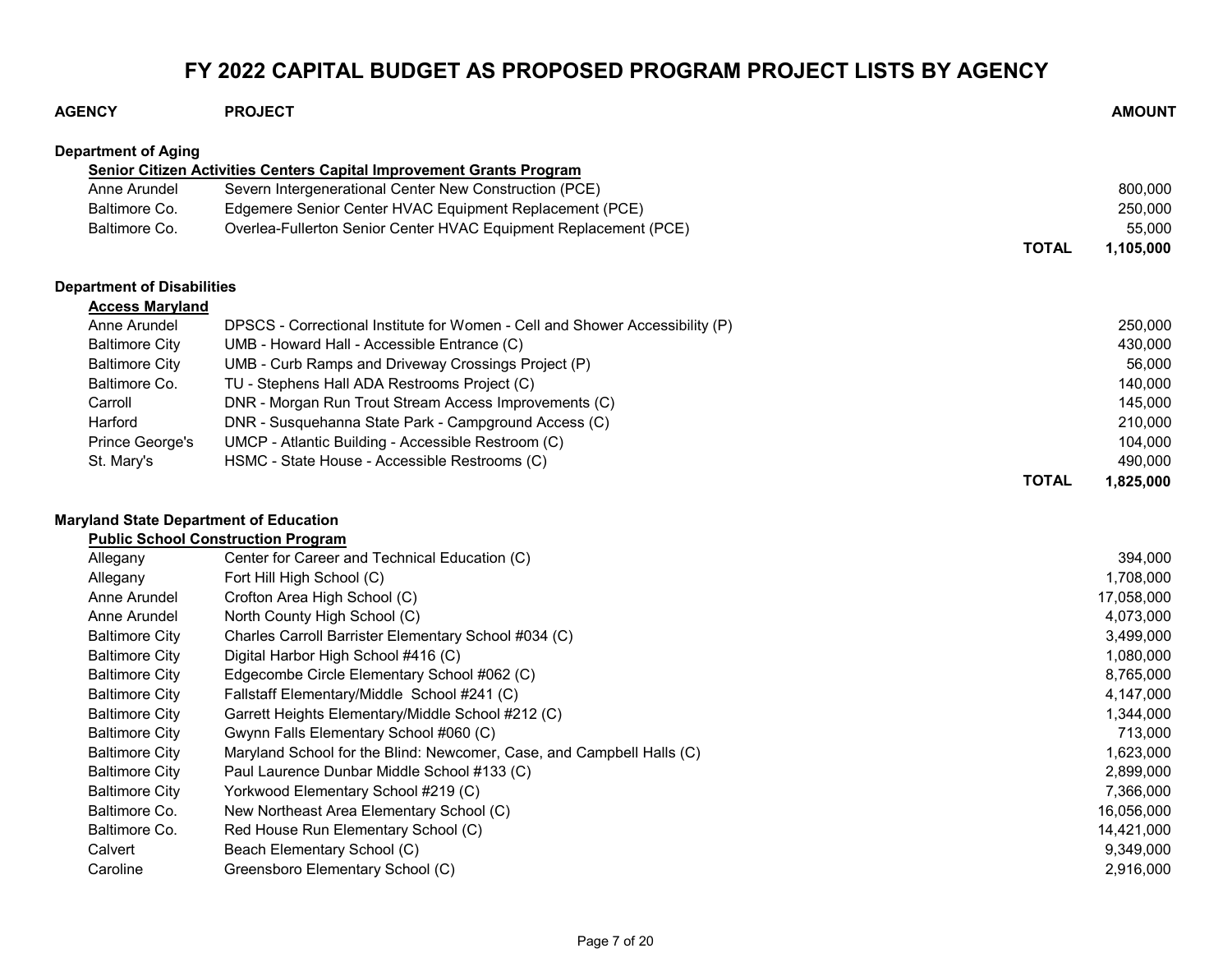## FY 2022 CAPITAL BUDGET AS PROPOSED PROGRAM PROJECT LISTS BY AGENCY

| <b>AGENCY</b>                                 | <b>PROJECT</b>                                                               | <b>AMOUNT</b>             |
|-----------------------------------------------|------------------------------------------------------------------------------|---------------------------|
| <b>Department of Aging</b>                    |                                                                              |                           |
|                                               | Senior Citizen Activities Centers Capital Improvement Grants Program         |                           |
| Anne Arundel                                  | Severn Intergenerational Center New Construction (PCE)                       | 800,000                   |
| Baltimore Co.                                 | Edgemere Senior Center HVAC Equipment Replacement (PCE)                      | 250,000                   |
| Baltimore Co.                                 | Overlea-Fullerton Senior Center HVAC Equipment Replacement (PCE)             | 55,000                    |
|                                               |                                                                              | <b>TOTAL</b><br>1,105,000 |
| <b>Department of Disabilities</b>             |                                                                              |                           |
| <b>Access Maryland</b>                        |                                                                              |                           |
| Anne Arundel                                  | DPSCS - Correctional Institute for Women - Cell and Shower Accessibility (P) | 250,000                   |
| <b>Baltimore City</b>                         | UMB - Howard Hall - Accessible Entrance (C)                                  | 430,000                   |
| <b>Baltimore City</b>                         | UMB - Curb Ramps and Driveway Crossings Project (P)                          | 56,000                    |
| Baltimore Co.                                 | TU - Stephens Hall ADA Restrooms Project (C)                                 | 140,000                   |
| Carroll                                       | DNR - Morgan Run Trout Stream Access Improvements (C)                        | 145,000                   |
| Harford                                       | DNR - Susquehanna State Park - Campground Access (C)                         | 210,000                   |
| Prince George's                               | UMCP - Atlantic Building - Accessible Restroom (C)                           | 104,000                   |
| St. Mary's                                    | HSMC - State House - Accessible Restrooms (C)                                | 490,000                   |
|                                               |                                                                              | <b>TOTAL</b><br>1,825,000 |
| <b>Maryland State Department of Education</b> |                                                                              |                           |
|                                               | <b>Public School Construction Program</b>                                    |                           |
| Allegany                                      | Center for Career and Technical Education (C)                                | 394,000                   |
| Allegany                                      | Fort Hill High School (C)                                                    | 1,708,000                 |
| Anne Arundel                                  | Crofton Area High School (C)                                                 | 17,058,000                |
| Anne Arundel                                  | North County High School (C)                                                 | 4,073,000                 |
| <b>Baltimore City</b>                         | Charles Carroll Barrister Elementary School #034 (C)                         | 3,499,000                 |
| <b>Baltimore City</b>                         | Digital Harbor High School #416 (C)                                          | 1,080,000                 |
| <b>Baltimore City</b>                         | Edgecombe Circle Elementary School #062 (C)                                  | 8,765,000                 |
| <b>Baltimore City</b>                         | Fallstaff Elementary/Middle School #241 (C)                                  | 4,147,000                 |
| <b>Baltimore City</b>                         | Garrett Heights Elementary/Middle School #212 (C)                            | 1,344,000                 |
| <b>Baltimore City</b>                         | Gwynn Falls Elementary School #060 (C)                                       | 713,000                   |
| <b>Baltimore City</b>                         | Maryland School for the Blind: Newcomer, Case, and Campbell Halls (C)        | 1,623,000                 |
| <b>Baltimore City</b>                         | Paul Laurence Dunbar Middle School #133 (C)                                  | 2,899,000                 |
| <b>Baltimore City</b>                         | Yorkwood Elementary School #219 (C)                                          | 7,366,000                 |
| Baltimore Co.                                 | New Northeast Area Elementary School (C)                                     | 16,056,000                |
| Baltimore Co.                                 | Red House Run Elementary School (C)                                          | 14,421,000                |
| Calvert                                       | Beach Elementary School (C)                                                  | 9,349,000                 |
| Caroline                                      | Greensboro Elementary School (C)                                             | 2,916,000                 |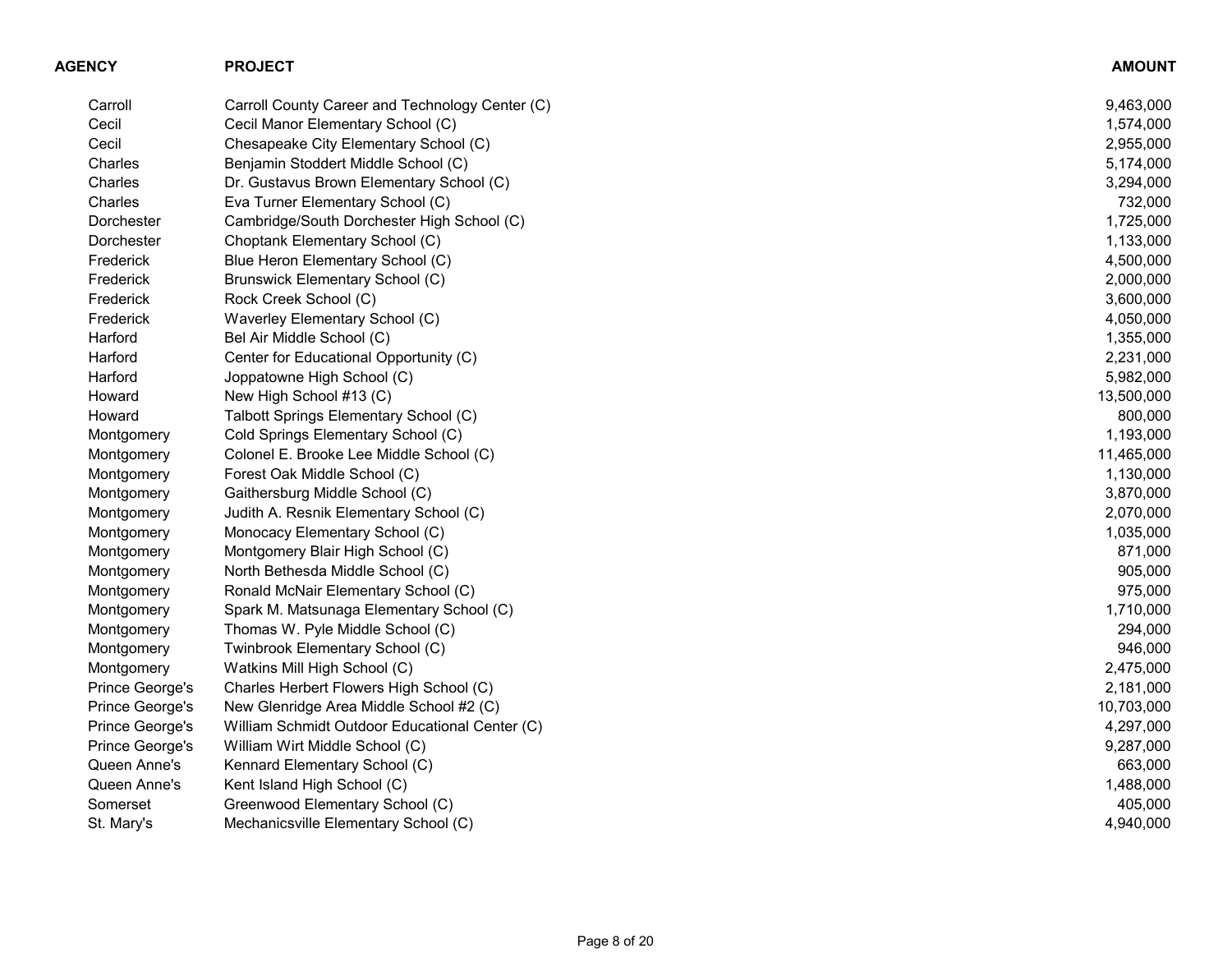| <b>AGENCY</b>   | <b>PROJECT</b>                                  | <b>AMOUNT</b> |
|-----------------|-------------------------------------------------|---------------|
| Carroll         | Carroll County Career and Technology Center (C) | 9,463,000     |
| Cecil           | Cecil Manor Elementary School (C)               | 1,574,000     |
| Cecil           | Chesapeake City Elementary School (C)           | 2,955,000     |
| Charles         | Benjamin Stoddert Middle School (C)             | 5,174,000     |
| Charles         | Dr. Gustavus Brown Elementary School (C)        | 3,294,000     |
| Charles         | Eva Turner Elementary School (C)                | 732,000       |
| Dorchester      | Cambridge/South Dorchester High School (C)      | 1,725,000     |
| Dorchester      | Choptank Elementary School (C)                  | 1,133,000     |
| Frederick       | Blue Heron Elementary School (C)                | 4,500,000     |
| Frederick       | Brunswick Elementary School (C)                 | 2,000,000     |
| Frederick       | Rock Creek School (C)                           | 3,600,000     |
| Frederick       | Waverley Elementary School (C)                  | 4,050,000     |
| Harford         | Bel Air Middle School (C)                       | 1,355,000     |
| Harford         | Center for Educational Opportunity (C)          | 2,231,000     |
| Harford         | Joppatowne High School (C)                      | 5,982,000     |
| Howard          | New High School #13 (C)                         | 13,500,000    |
| Howard          | Talbott Springs Elementary School (C)           | 800,000       |
| Montgomery      | Cold Springs Elementary School (C)              | 1,193,000     |
| Montgomery      | Colonel E. Brooke Lee Middle School (C)         | 11,465,000    |
| Montgomery      | Forest Oak Middle School (C)                    | 1,130,000     |
| Montgomery      | Gaithersburg Middle School (C)                  | 3,870,000     |
| Montgomery      | Judith A. Resnik Elementary School (C)          | 2,070,000     |
| Montgomery      | Monocacy Elementary School (C)                  | 1,035,000     |
| Montgomery      | Montgomery Blair High School (C)                | 871,000       |
| Montgomery      | North Bethesda Middle School (C)                | 905,000       |
| Montgomery      | Ronald McNair Elementary School (C)             | 975,000       |
| Montgomery      | Spark M. Matsunaga Elementary School (C)        | 1,710,000     |
| Montgomery      | Thomas W. Pyle Middle School (C)                | 294,000       |
| Montgomery      | Twinbrook Elementary School (C)                 | 946,000       |
| Montgomery      | Watkins Mill High School (C)                    | 2,475,000     |
| Prince George's | Charles Herbert Flowers High School (C)         | 2,181,000     |
| Prince George's | New Glenridge Area Middle School #2 (C)         | 10,703,000    |
| Prince George's | William Schmidt Outdoor Educational Center (C)  | 4,297,000     |
| Prince George's | William Wirt Middle School (C)                  | 9,287,000     |
| Queen Anne's    | Kennard Elementary School (C)                   | 663,000       |
| Queen Anne's    | Kent Island High School (C)                     | 1,488,000     |
| Somerset        | Greenwood Elementary School (C)                 | 405,000       |
| St. Mary's      | Mechanicsville Elementary School (C)            | 4,940,000     |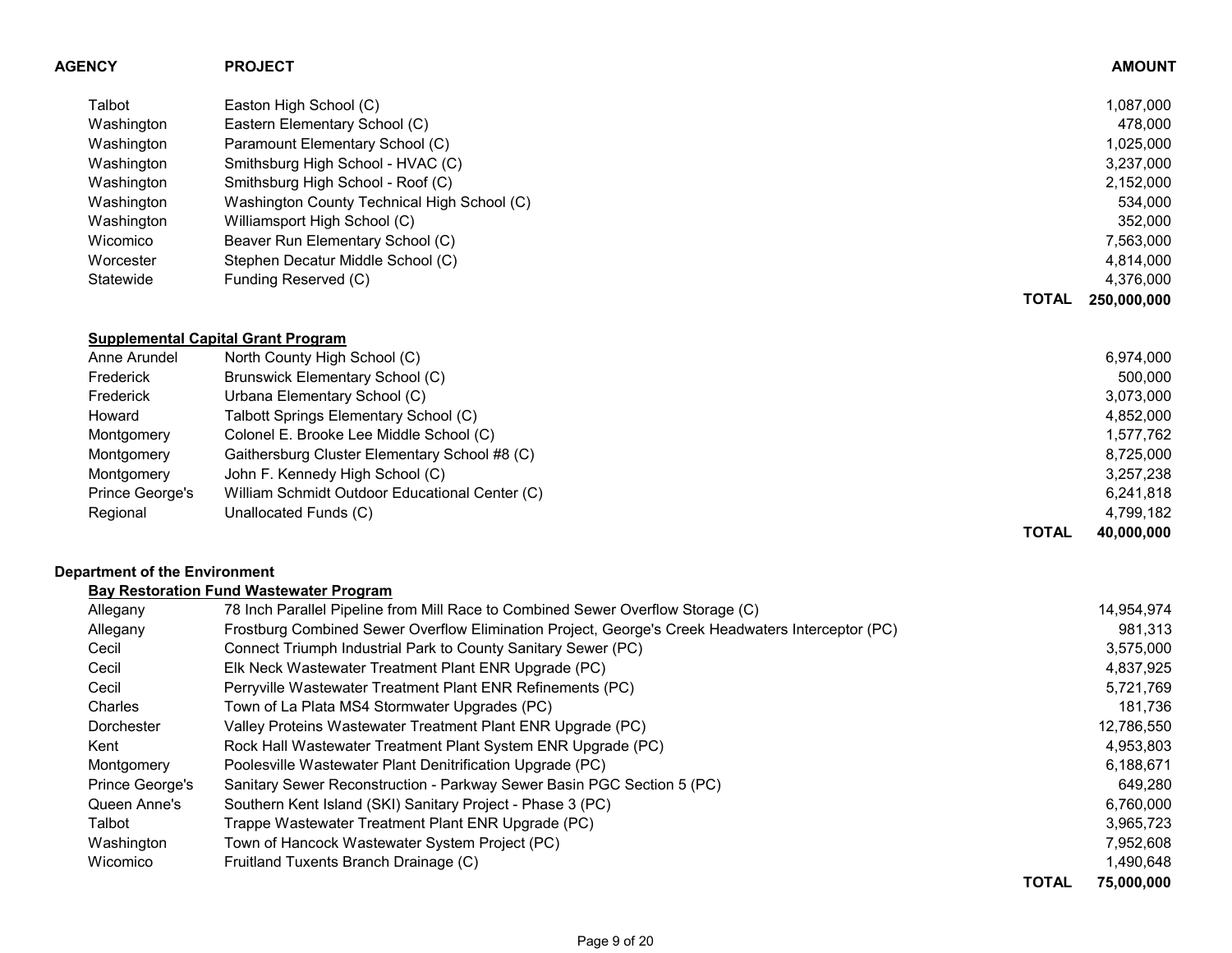| <b>AGENCY</b>                 | <b>PROJECT</b>                                                                                    |              | <b>AMOUNT</b> |
|-------------------------------|---------------------------------------------------------------------------------------------------|--------------|---------------|
| Talbot                        | Easton High School (C)                                                                            |              | 1,087,000     |
| Washington                    | Eastern Elementary School (C)                                                                     |              | 478,000       |
| Washington                    | Paramount Elementary School (C)                                                                   |              | 1,025,000     |
| Washington                    | Smithsburg High School - HVAC (C)                                                                 |              | 3,237,000     |
| Washington                    | Smithsburg High School - Roof (C)                                                                 |              | 2,152,000     |
| Washington                    | Washington County Technical High School (C)                                                       |              | 534,000       |
| Washington                    | Williamsport High School (C)                                                                      |              | 352,000       |
| Wicomico                      | Beaver Run Elementary School (C)                                                                  |              | 7,563,000     |
| Worcester                     | Stephen Decatur Middle School (C)                                                                 |              | 4,814,000     |
| Statewide                     | Funding Reserved (C)                                                                              |              | 4,376,000     |
|                               |                                                                                                   | <b>TOTAL</b> | 250,000,000   |
|                               | <b>Supplemental Capital Grant Program</b>                                                         |              |               |
| Anne Arundel                  | North County High School (C)                                                                      |              | 6,974,000     |
| Frederick                     | <b>Brunswick Elementary School (C)</b>                                                            |              | 500,000       |
| Frederick                     | Urbana Elementary School (C)                                                                      |              | 3,073,000     |
| Howard                        | Talbott Springs Elementary School (C)                                                             |              | 4,852,000     |
| Montgomery                    | Colonel E. Brooke Lee Middle School (C)                                                           |              | 1,577,762     |
| Montgomery                    | Gaithersburg Cluster Elementary School #8 (C)                                                     |              | 8,725,000     |
| Montgomery                    | John F. Kennedy High School (C)                                                                   |              | 3,257,238     |
| Prince George's               | William Schmidt Outdoor Educational Center (C)                                                    |              | 6,241,818     |
| Regional                      | Unallocated Funds (C)                                                                             |              | 4,799,182     |
|                               |                                                                                                   | <b>TOTAL</b> | 40,000,000    |
| Department of the Environment |                                                                                                   |              |               |
|                               | <b>Bay Restoration Fund Wastewater Program</b>                                                    |              |               |
| Allegany                      | 78 Inch Parallel Pipeline from Mill Race to Combined Sewer Overflow Storage (C)                   |              | 14,954,974    |
| Allegany                      | Frostburg Combined Sewer Overflow Elimination Project, George's Creek Headwaters Interceptor (PC) |              | 981,313       |
| Cecil                         | Connect Triumph Industrial Park to County Sanitary Sewer (PC)                                     |              | 3,575,000     |
| Cecil                         | Elk Neck Wastewater Treatment Plant ENR Upgrade (PC)                                              |              | 4,837,925     |
| Cecil                         | Perryville Wastewater Treatment Plant ENR Refinements (PC)                                        |              | 5,721,769     |
| Charles                       | Town of La Plata MS4 Stormwater Upgrades (PC)                                                     |              | 181,736       |
| Dorchester                    | Valley Proteins Wastewater Treatment Plant ENR Upgrade (PC)                                       |              | 12,786,550    |
| Kent                          | Rock Hall Wastewater Treatment Plant System ENR Upgrade (PC)                                      |              | 4,953,803     |
| Montgomery                    | Poolesville Wastewater Plant Denitrification Upgrade (PC)                                         |              | 6,188,671     |
| Prince George's               | Sanitary Sewer Reconstruction - Parkway Sewer Basin PGC Section 5 (PC)                            |              | 649,280       |
| Queen Anne's                  | Southern Kent Island (SKI) Sanitary Project - Phase 3 (PC)                                        |              | 6,760,000     |
| Talbot                        | Trappe Wastewater Treatment Plant ENR Upgrade (PC)                                                |              | 3,965,723     |
| Washington                    | Town of Hancock Wastewater System Project (PC)                                                    |              | 7,952,608     |
| Wicomico                      | Fruitland Tuxents Branch Drainage (C)                                                             |              | 1,490,648     |
|                               |                                                                                                   | <b>TOTAL</b> | 75,000,000    |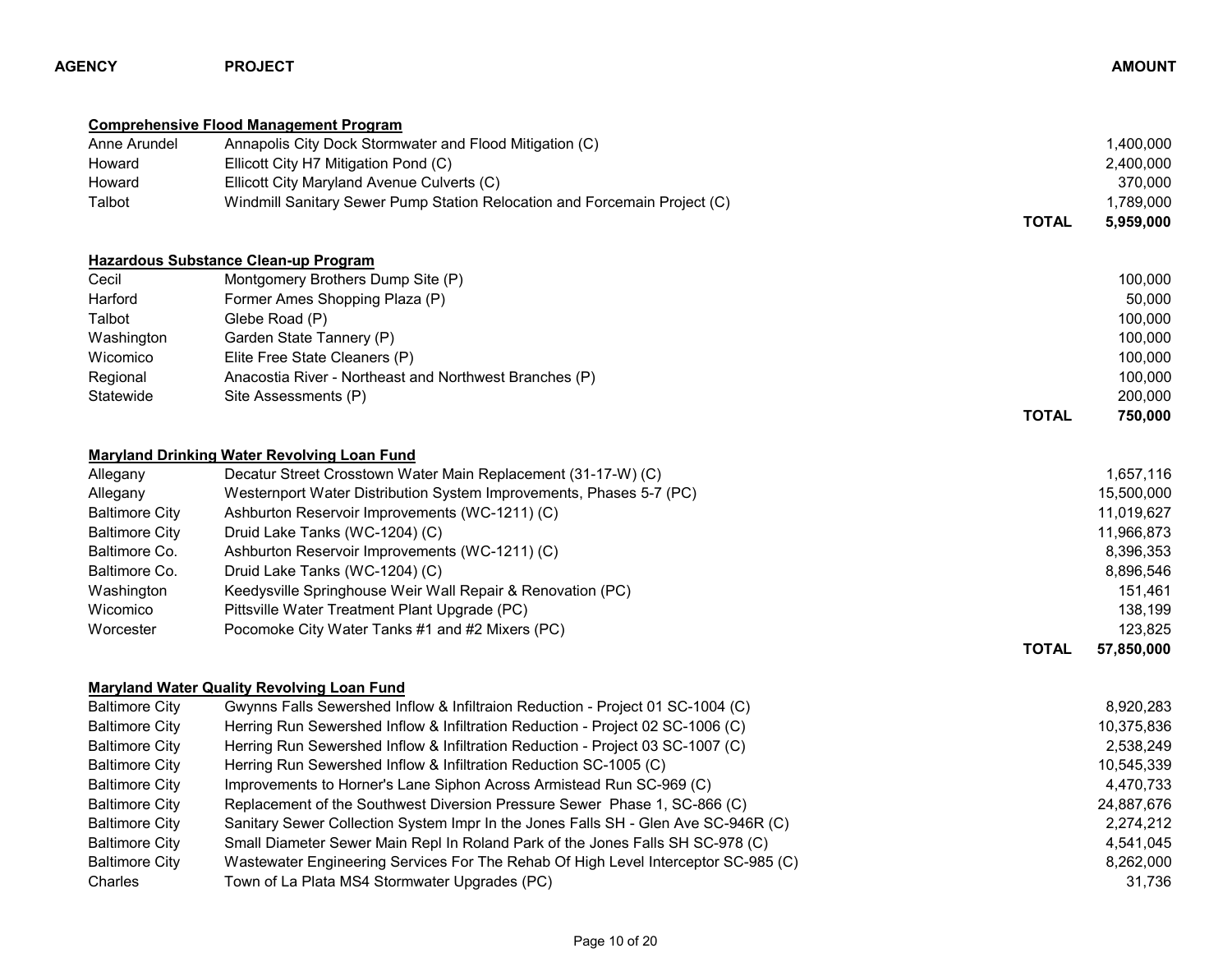| <b>AGENCY</b>         | <b>PROJECT</b>                                                                     |              | <b>AMOUNT</b> |
|-----------------------|------------------------------------------------------------------------------------|--------------|---------------|
|                       | <b>Comprehensive Flood Management Program</b>                                      |              |               |
| Anne Arundel          | Annapolis City Dock Stormwater and Flood Mitigation (C)                            |              | 1,400,000     |
| Howard                | Ellicott City H7 Mitigation Pond (C)                                               |              | 2,400,000     |
| Howard                | Ellicott City Maryland Avenue Culverts (C)                                         |              | 370,000       |
| Talbot                | Windmill Sanitary Sewer Pump Station Relocation and Forcemain Project (C)          |              | 1,789,000     |
|                       |                                                                                    | <b>TOTAL</b> | 5,959,000     |
|                       | <b>Hazardous Substance Clean-up Program</b>                                        |              |               |
| Cecil                 | Montgomery Brothers Dump Site (P)                                                  |              | 100,000       |
| Harford               | Former Ames Shopping Plaza (P)                                                     |              | 50,000        |
| Talbot                | Glebe Road (P)                                                                     |              | 100,000       |
| Washington            | Garden State Tannery (P)                                                           |              | 100,000       |
| Wicomico              | Elite Free State Cleaners (P)                                                      |              | 100,000       |
| Regional              | Anacostia River - Northeast and Northwest Branches (P)                             |              | 100,000       |
| Statewide             | Site Assessments (P)                                                               |              | 200,000       |
|                       |                                                                                    | <b>TOTAL</b> | 750,000       |
|                       | <b>Maryland Drinking Water Revolving Loan Fund</b>                                 |              |               |
| Allegany              | Decatur Street Crosstown Water Main Replacement (31-17-W) (C)                      |              | 1,657,116     |
| Allegany              | Westernport Water Distribution System Improvements, Phases 5-7 (PC)                |              | 15,500,000    |
| <b>Baltimore City</b> | Ashburton Reservoir Improvements (WC-1211) (C)                                     |              | 11,019,627    |
| <b>Baltimore City</b> | Druid Lake Tanks (WC-1204) (C)                                                     |              | 11,966,873    |
| Baltimore Co.         | Ashburton Reservoir Improvements (WC-1211) (C)                                     |              | 8,396,353     |
| Baltimore Co.         | Druid Lake Tanks (WC-1204) (C)                                                     |              | 8,896,546     |
| Washington            | Keedysville Springhouse Weir Wall Repair & Renovation (PC)                         |              | 151,461       |
| Wicomico              | Pittsville Water Treatment Plant Upgrade (PC)                                      |              | 138,199       |
| Worcester             | Pocomoke City Water Tanks #1 and #2 Mixers (PC)                                    |              | 123,825       |
|                       |                                                                                    | <b>TOTAL</b> | 57,850,000    |
|                       | <b>Maryland Water Quality Revolving Loan Fund</b>                                  |              |               |
| <b>Baltimore City</b> | Gwynns Falls Sewershed Inflow & Infiltraion Reduction - Project 01 SC-1004 (C)     |              | 8,920,283     |
| <b>Baltimore City</b> | Herring Run Sewershed Inflow & Infiltration Reduction - Project 02 SC-1006 (C)     |              | 10,375,836    |
| <b>Baltimore City</b> | Herring Run Sewershed Inflow & Infiltration Reduction - Project 03 SC-1007 (C)     |              | 2,538,249     |
| <b>Baltimore City</b> | Herring Run Sewershed Inflow & Infiltration Reduction SC-1005 (C)                  |              | 10,545,339    |
| <b>Baltimore City</b> | Improvements to Horner's Lane Siphon Across Armistead Run SC-969 (C)               |              | 4,470,733     |
| <b>Baltimore City</b> | Replacement of the Southwest Diversion Pressure Sewer Phase 1, SC-866 (C)          |              | 24,887,676    |
| <b>Baltimore City</b> | Sanitary Sewer Collection System Impr In the Jones Falls SH - Glen Ave SC-946R (C) |              | 2,274,212     |
| <b>Baltimore City</b> | Small Diameter Sewer Main Repl In Roland Park of the Jones Falls SH SC-978 (C)     |              | 4,541,045     |
| <b>Baltimore City</b> | Wastewater Engineering Services For The Rehab Of High Level Interceptor SC-985 (C) |              | 8,262,000     |
| Charles               | Town of La Plata MS4 Stormwater Upgrades (PC)                                      |              | 31,736        |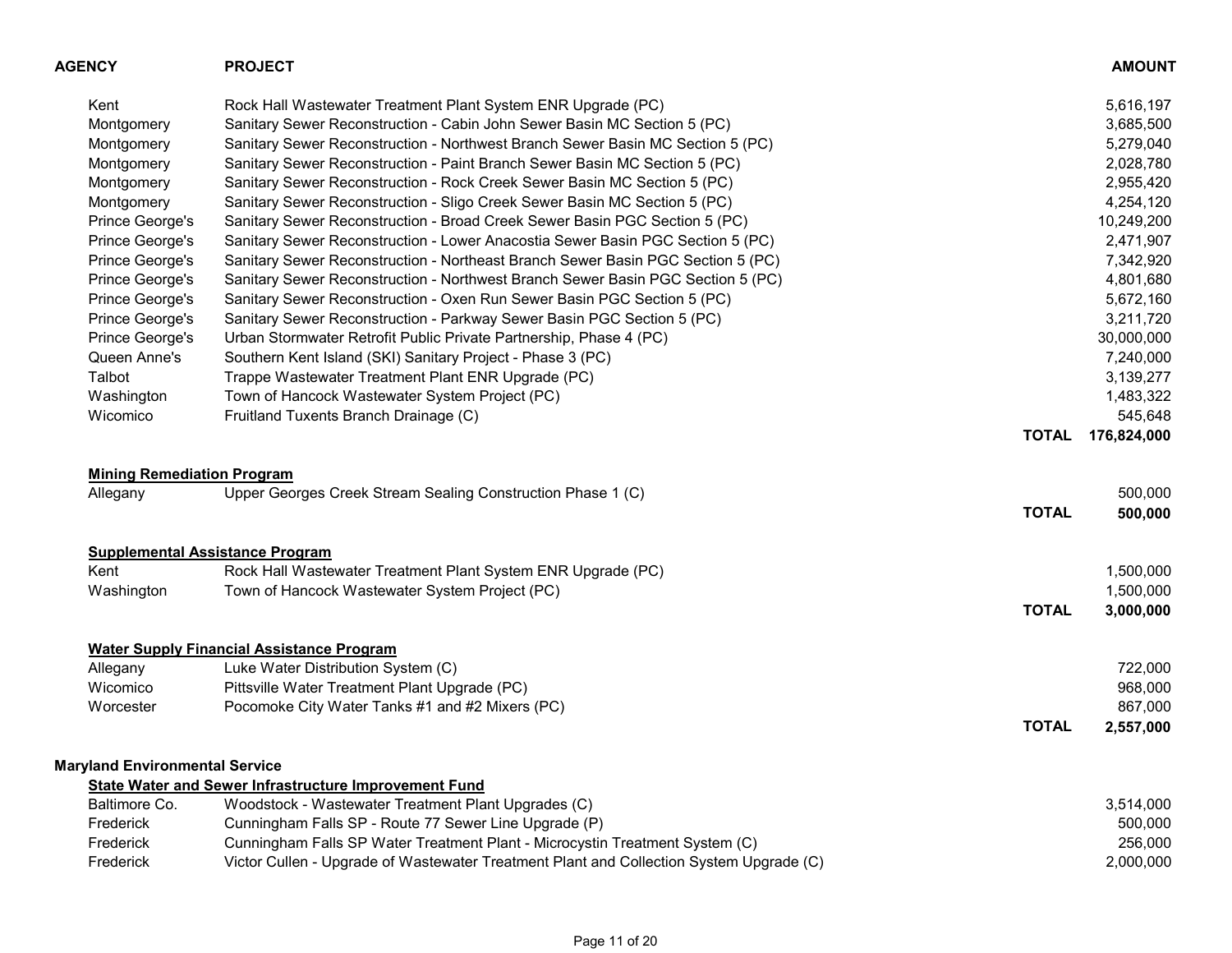| <b>AGENCY</b>                                 | <b>PROJECT</b>                                                                          |              | <b>AMOUNT</b> |
|-----------------------------------------------|-----------------------------------------------------------------------------------------|--------------|---------------|
| Kent                                          | Rock Hall Wastewater Treatment Plant System ENR Upgrade (PC)                            |              | 5,616,197     |
| Montgomery                                    | Sanitary Sewer Reconstruction - Cabin John Sewer Basin MC Section 5 (PC)                |              | 3,685,500     |
| Montgomery                                    | Sanitary Sewer Reconstruction - Northwest Branch Sewer Basin MC Section 5 (PC)          |              | 5,279,040     |
| Montgomery                                    | Sanitary Sewer Reconstruction - Paint Branch Sewer Basin MC Section 5 (PC)              |              | 2,028,780     |
| Montgomery                                    | Sanitary Sewer Reconstruction - Rock Creek Sewer Basin MC Section 5 (PC)                |              | 2,955,420     |
| Montgomery                                    | Sanitary Sewer Reconstruction - Sligo Creek Sewer Basin MC Section 5 (PC)               |              | 4,254,120     |
| Prince George's                               | Sanitary Sewer Reconstruction - Broad Creek Sewer Basin PGC Section 5 (PC)              |              | 10,249,200    |
| Prince George's                               | Sanitary Sewer Reconstruction - Lower Anacostia Sewer Basin PGC Section 5 (PC)          |              | 2,471,907     |
| Prince George's                               | Sanitary Sewer Reconstruction - Northeast Branch Sewer Basin PGC Section 5 (PC)         |              | 7,342,920     |
| Prince George's                               | Sanitary Sewer Reconstruction - Northwest Branch Sewer Basin PGC Section 5 (PC)         |              | 4,801,680     |
| Prince George's                               | Sanitary Sewer Reconstruction - Oxen Run Sewer Basin PGC Section 5 (PC)                 |              | 5,672,160     |
| Prince George's                               | Sanitary Sewer Reconstruction - Parkway Sewer Basin PGC Section 5 (PC)                  |              | 3,211,720     |
| Prince George's                               | Urban Stormwater Retrofit Public Private Partnership, Phase 4 (PC)                      |              | 30,000,000    |
| Queen Anne's                                  | Southern Kent Island (SKI) Sanitary Project - Phase 3 (PC)                              |              | 7,240,000     |
| Talbot                                        | Trappe Wastewater Treatment Plant ENR Upgrade (PC)                                      |              | 3,139,277     |
| Washington                                    | Town of Hancock Wastewater System Project (PC)                                          |              | 1,483,322     |
| Wicomico                                      | Fruitland Tuxents Branch Drainage (C)                                                   |              | 545,648       |
|                                               |                                                                                         | <b>TOTAL</b> | 176,824,000   |
|                                               |                                                                                         |              |               |
| <b>Mining Remediation Program</b><br>Allegany | Upper Georges Creek Stream Sealing Construction Phase 1 (C)                             |              | 500,000       |
|                                               |                                                                                         | <b>TOTAL</b> | 500,000       |
|                                               |                                                                                         |              |               |
|                                               | <b>Supplemental Assistance Program</b>                                                  |              |               |
| Kent                                          | Rock Hall Wastewater Treatment Plant System ENR Upgrade (PC)                            |              | 1,500,000     |
| Washington                                    | Town of Hancock Wastewater System Project (PC)                                          |              | 1,500,000     |
|                                               |                                                                                         | <b>TOTAL</b> | 3,000,000     |
|                                               | <b>Water Supply Financial Assistance Program</b>                                        |              |               |
| Allegany                                      | Luke Water Distribution System (C)                                                      |              | 722,000       |
| Wicomico                                      | Pittsville Water Treatment Plant Upgrade (PC)                                           |              | 968,000       |
| Worcester                                     | Pocomoke City Water Tanks #1 and #2 Mixers (PC)                                         |              | 867,000       |
|                                               |                                                                                         | <b>TOTAL</b> | 2,557,000     |
| <b>Maryland Environmental Service</b>         |                                                                                         |              |               |
|                                               | <b>State Water and Sewer Infrastructure Improvement Fund</b>                            |              |               |
| Baltimore Co.                                 | Woodstock - Wastewater Treatment Plant Upgrades (C)                                     |              | 3,514,000     |
| Frederick                                     | Cunningham Falls SP - Route 77 Sewer Line Upgrade (P)                                   |              | 500,000       |
| Frederick                                     | Cunningham Falls SP Water Treatment Plant - Microcystin Treatment System (C)            |              | 256,000       |
| Frederick                                     | Victor Cullen - Upgrade of Wastewater Treatment Plant and Collection System Upgrade (C) |              | 2,000,000     |
|                                               |                                                                                         |              |               |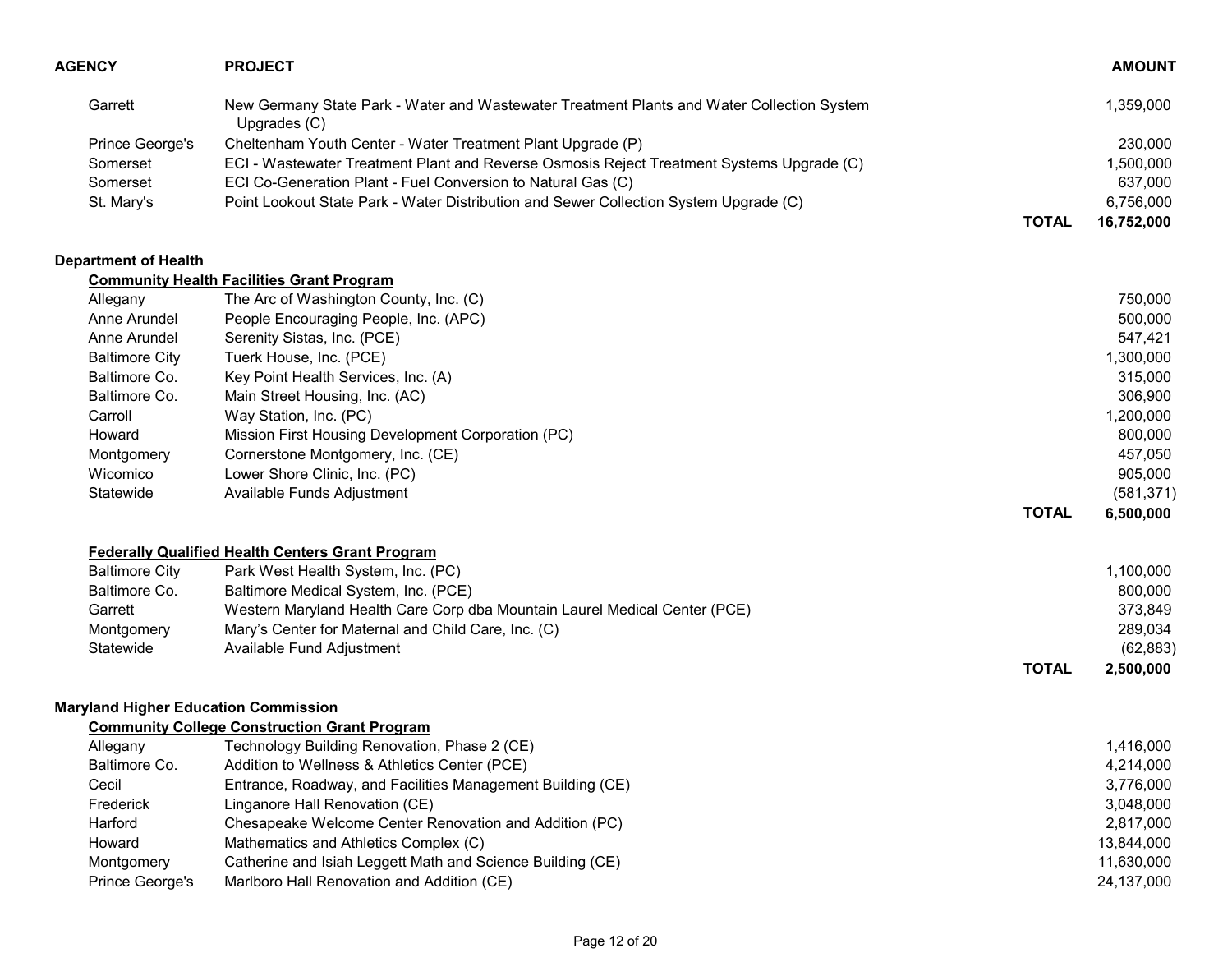| <b>AGENCY</b>                               | <b>PROJECT</b>                                                                                                                                                                                                        |              | <b>AMOUNT</b>          |
|---------------------------------------------|-----------------------------------------------------------------------------------------------------------------------------------------------------------------------------------------------------------------------|--------------|------------------------|
| Garrett                                     | New Germany State Park - Water and Wastewater Treatment Plants and Water Collection System<br>Upgrades (C)                                                                                                            |              | 1,359,000              |
| Prince George's                             | Cheltenham Youth Center - Water Treatment Plant Upgrade (P)                                                                                                                                                           |              | 230,000                |
| Somerset                                    | ECI - Wastewater Treatment Plant and Reverse Osmosis Reject Treatment Systems Upgrade (C)                                                                                                                             |              | 1,500,000              |
| Somerset                                    | ECI Co-Generation Plant - Fuel Conversion to Natural Gas (C)                                                                                                                                                          |              | 637,000                |
| St. Mary's                                  | Point Lookout State Park - Water Distribution and Sewer Collection System Upgrade (C)                                                                                                                                 |              | 6,756,000              |
|                                             |                                                                                                                                                                                                                       | <b>TOTAL</b> | 16,752,000             |
| <b>Department of Health</b>                 |                                                                                                                                                                                                                       |              |                        |
|                                             | <b>Community Health Facilities Grant Program</b>                                                                                                                                                                      |              |                        |
| Allegany                                    | The Arc of Washington County, Inc. (C)                                                                                                                                                                                |              | 750,000                |
| Anne Arundel                                | People Encouraging People, Inc. (APC)                                                                                                                                                                                 |              | 500,000                |
| Anne Arundel                                | Serenity Sistas, Inc. (PCE)                                                                                                                                                                                           |              | 547,421                |
| <b>Baltimore City</b>                       | Tuerk House, Inc. (PCE)                                                                                                                                                                                               |              | 1,300,000              |
| Baltimore Co.                               | Key Point Health Services, Inc. (A)                                                                                                                                                                                   |              | 315,000                |
| Baltimore Co.                               | Main Street Housing, Inc. (AC)                                                                                                                                                                                        |              | 306,900                |
| Carroll                                     | Way Station, Inc. (PC)                                                                                                                                                                                                |              | 1,200,000              |
| Howard                                      | Mission First Housing Development Corporation (PC)                                                                                                                                                                    |              | 800,000                |
| Montgomery                                  | Cornerstone Montgomery, Inc. (CE)                                                                                                                                                                                     |              | 457,050                |
| Wicomico                                    | Lower Shore Clinic, Inc. (PC)                                                                                                                                                                                         |              | 905,000                |
| Statewide                                   | Available Funds Adjustment                                                                                                                                                                                            |              | (581, 371)             |
|                                             |                                                                                                                                                                                                                       | <b>TOTAL</b> | 6,500,000              |
|                                             | <b>Federally Qualified Health Centers Grant Program</b>                                                                                                                                                               |              |                        |
| <b>Baltimore City</b>                       | Park West Health System, Inc. (PC)                                                                                                                                                                                    |              | 1,100,000              |
| Baltimore Co.                               | Baltimore Medical System, Inc. (PCE)                                                                                                                                                                                  |              | 800,000                |
| Garrett                                     | Western Maryland Health Care Corp dba Mountain Laurel Medical Center (PCE)                                                                                                                                            |              | 373,849                |
| Montgomery                                  | Mary's Center for Maternal and Child Care, Inc. (C)                                                                                                                                                                   |              | 289,034                |
| Statewide                                   | Available Fund Adjustment                                                                                                                                                                                             |              | (62, 883)              |
|                                             |                                                                                                                                                                                                                       | <b>TOTAL</b> | 2,500,000              |
| <b>Maryland Higher Education Commission</b> |                                                                                                                                                                                                                       |              |                        |
|                                             | <b>Community College Construction Grant Program</b>                                                                                                                                                                   |              |                        |
| Allegany                                    |                                                                                                                                                                                                                       |              |                        |
|                                             |                                                                                                                                                                                                                       |              |                        |
| Cecil                                       |                                                                                                                                                                                                                       |              | 3,776,000              |
| Frederick                                   | Linganore Hall Renovation (CE)                                                                                                                                                                                        |              | 3,048,000              |
| Harford                                     |                                                                                                                                                                                                                       |              | 2,817,000              |
| Howard                                      | Mathematics and Athletics Complex (C)                                                                                                                                                                                 |              | 13,844,000             |
| Montgomery                                  | Catherine and Isiah Leggett Math and Science Building (CE)                                                                                                                                                            |              | 11,630,000             |
| Prince George's                             | Marlboro Hall Renovation and Addition (CE)                                                                                                                                                                            |              | 24,137,000             |
| Baltimore Co.                               | Technology Building Renovation, Phase 2 (CE)<br>Addition to Wellness & Athletics Center (PCE)<br>Entrance, Roadway, and Facilities Management Building (CE)<br>Chesapeake Welcome Center Renovation and Addition (PC) |              | 1,416,000<br>4,214,000 |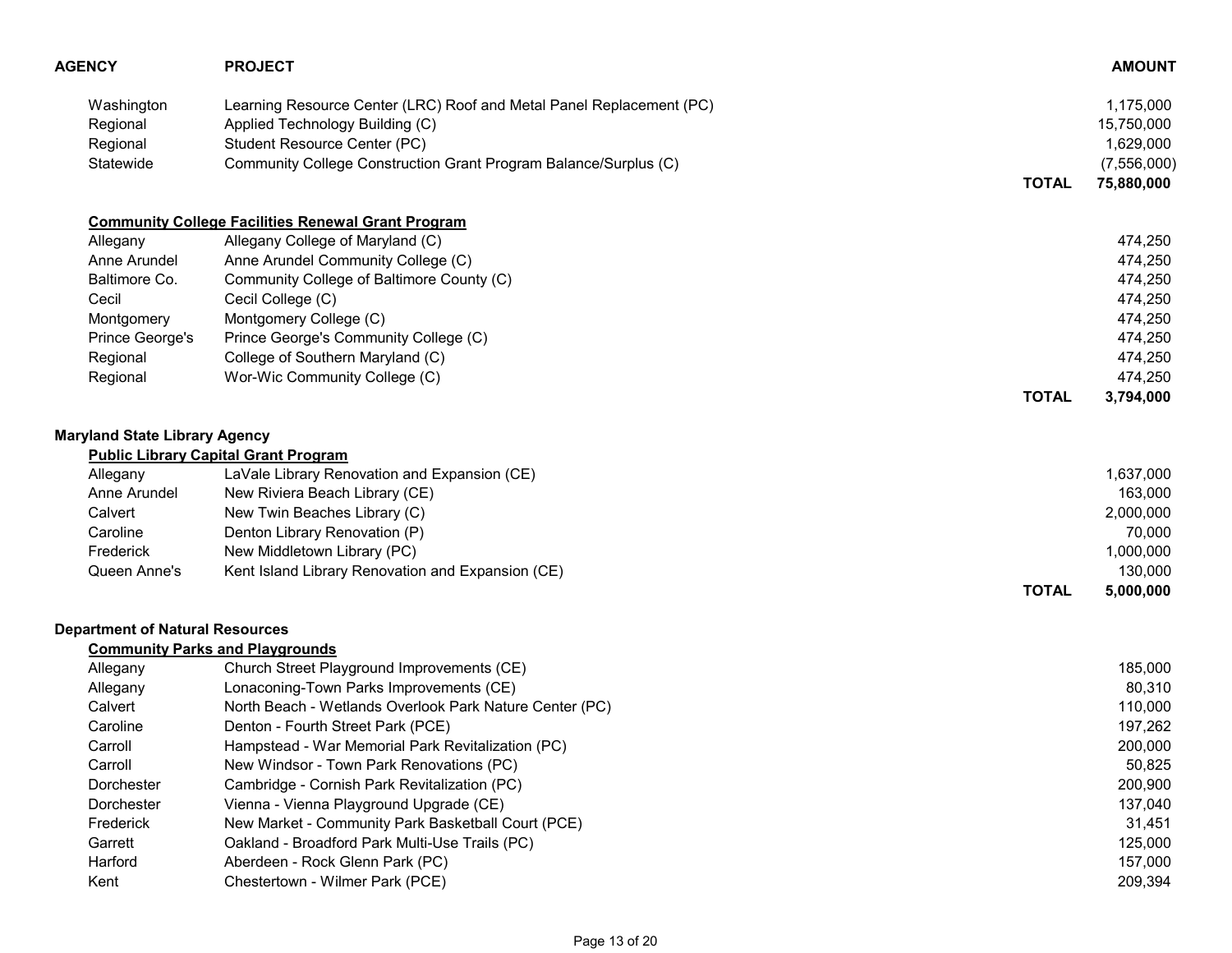| <b>AGENCY</b>                                   | <b>PROJECT</b>                                                                                                                                                                                              |              | <b>AMOUNT</b>                                         |
|-------------------------------------------------|-------------------------------------------------------------------------------------------------------------------------------------------------------------------------------------------------------------|--------------|-------------------------------------------------------|
| Washington<br>Regional<br>Regional<br>Statewide | Learning Resource Center (LRC) Roof and Metal Panel Replacement (PC)<br>Applied Technology Building (C)<br>Student Resource Center (PC)<br>Community College Construction Grant Program Balance/Surplus (C) |              | 1,175,000<br>15,750,000<br>1,629,000<br>(7, 556, 000) |
|                                                 |                                                                                                                                                                                                             | <b>TOTAL</b> | 75,880,000                                            |
|                                                 | <b>Community College Facilities Renewal Grant Program</b>                                                                                                                                                   |              |                                                       |
| Allegany                                        | Allegany College of Maryland (C)                                                                                                                                                                            |              | 474,250                                               |
| Anne Arundel                                    | Anne Arundel Community College (C)                                                                                                                                                                          |              | 474,250                                               |
| Baltimore Co.                                   | Community College of Baltimore County (C)                                                                                                                                                                   |              | 474,250                                               |
| Cecil                                           | Cecil College (C)                                                                                                                                                                                           |              | 474,250                                               |
| Montgomery                                      | Montgomery College (C)                                                                                                                                                                                      |              | 474,250                                               |
| Prince George's                                 | Prince George's Community College (C)                                                                                                                                                                       |              | 474,250                                               |
| Regional                                        | College of Southern Maryland (C)                                                                                                                                                                            |              | 474,250                                               |
| Regional                                        | Wor-Wic Community College (C)                                                                                                                                                                               |              | 474,250                                               |
|                                                 |                                                                                                                                                                                                             | <b>TOTAL</b> | 3,794,000                                             |
| <b>Maryland State Library Agency</b>            |                                                                                                                                                                                                             |              |                                                       |
|                                                 | <b>Public Library Capital Grant Program</b>                                                                                                                                                                 |              |                                                       |
| Allegany                                        | LaVale Library Renovation and Expansion (CE)                                                                                                                                                                |              | 1,637,000                                             |
| Anne Arundel                                    | New Riviera Beach Library (CE)                                                                                                                                                                              |              | 163,000                                               |
| Calvert                                         | New Twin Beaches Library (C)                                                                                                                                                                                |              | 2,000,000                                             |
| Caroline                                        | Denton Library Renovation (P)                                                                                                                                                                               |              | 70,000                                                |
| Frederick                                       | New Middletown Library (PC)                                                                                                                                                                                 |              | 1,000,000                                             |
| Queen Anne's                                    | Kent Island Library Renovation and Expansion (CE)                                                                                                                                                           |              | 130,000                                               |
|                                                 |                                                                                                                                                                                                             | <b>TOTAL</b> | 5,000,000                                             |
| <b>Department of Natural Resources</b>          |                                                                                                                                                                                                             |              |                                                       |
|                                                 | <b>Community Parks and Playgrounds</b>                                                                                                                                                                      |              |                                                       |
| Allegany                                        | Church Street Playground Improvements (CE)                                                                                                                                                                  |              | 185,000                                               |
| Allegany                                        | Lonaconing-Town Parks Improvements (CE)                                                                                                                                                                     |              | 80,310                                                |
| Calvert                                         | North Beach - Wetlands Overlook Park Nature Center (PC)                                                                                                                                                     |              | 110,000                                               |
| Caroline                                        | Denton - Fourth Street Park (PCE)                                                                                                                                                                           |              | 197,262                                               |
| Carroll                                         | Hampstead - War Memorial Park Revitalization (PC)                                                                                                                                                           |              | 200,000                                               |
| Carroll                                         | New Windsor - Town Park Renovations (PC)                                                                                                                                                                    |              | 50,825                                                |
| Dorchester                                      | Cambridge - Cornish Park Revitalization (PC)                                                                                                                                                                |              | 200,900                                               |
| Dorchester                                      | Vienna - Vienna Playground Upgrade (CE)                                                                                                                                                                     |              | 137,040                                               |
| Frederick                                       | New Market - Community Park Basketball Court (PCE)                                                                                                                                                          |              | 31,451                                                |
| Garrett                                         | Oakland - Broadford Park Multi-Use Trails (PC)                                                                                                                                                              |              | 125,000                                               |
| Harford                                         | Aberdeen - Rock Glenn Park (PC)                                                                                                                                                                             |              | 157,000                                               |
| Kent                                            | Chestertown - Wilmer Park (PCE)                                                                                                                                                                             |              | 209,394                                               |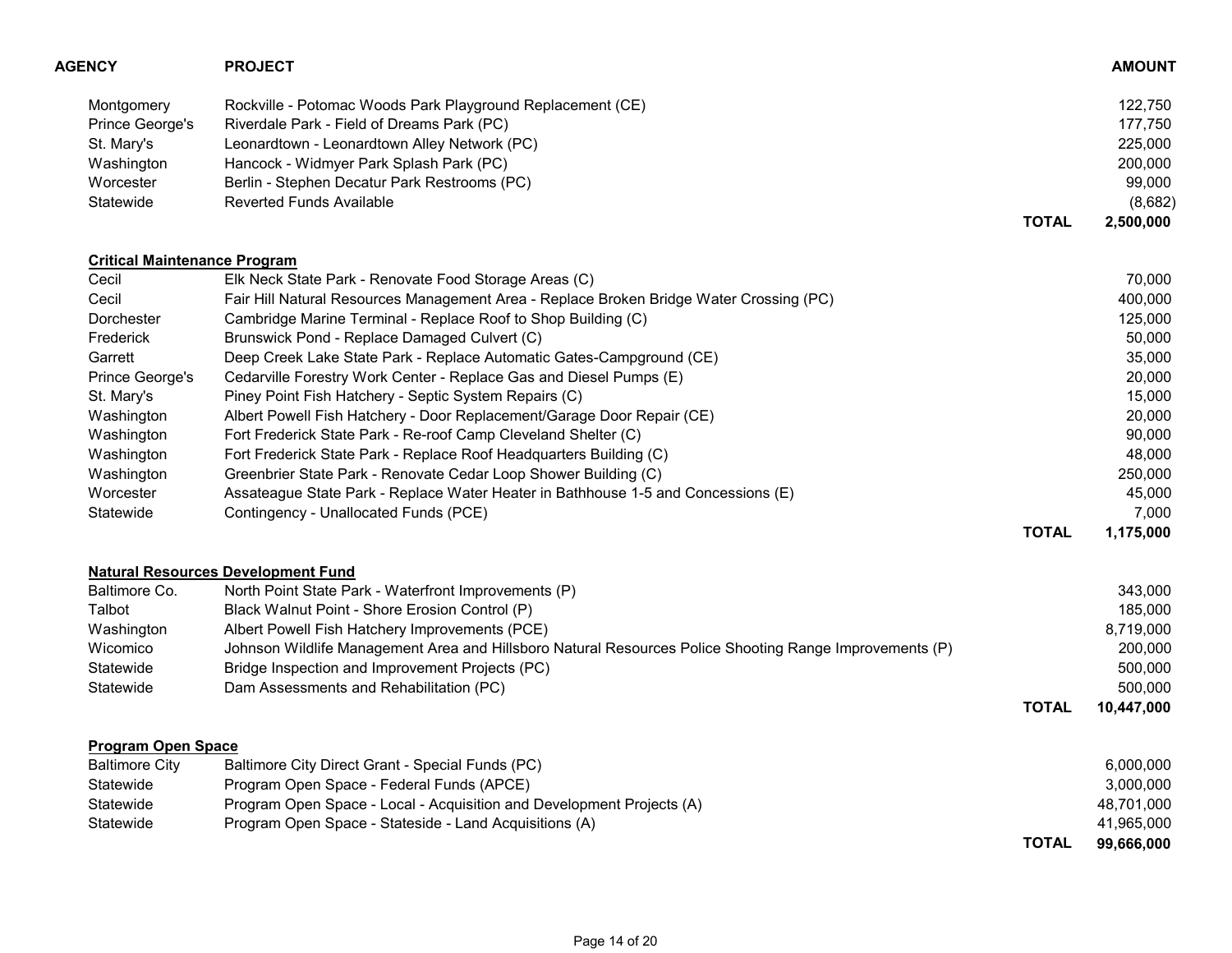| AGENCY                              | <b>PROJECT</b>                                                                                          |              | <b>AMOUNT</b> |
|-------------------------------------|---------------------------------------------------------------------------------------------------------|--------------|---------------|
| Montgomery                          | Rockville - Potomac Woods Park Playground Replacement (CE)                                              |              | 122,750       |
| Prince George's                     | Riverdale Park - Field of Dreams Park (PC)                                                              |              | 177,750       |
| St. Mary's                          | Leonardtown - Leonardtown Alley Network (PC)                                                            |              | 225,000       |
| Washington                          | Hancock - Widmyer Park Splash Park (PC)                                                                 |              | 200,000       |
| Worcester                           | Berlin - Stephen Decatur Park Restrooms (PC)                                                            |              | 99,000        |
| Statewide                           | <b>Reverted Funds Available</b>                                                                         |              | (8,682)       |
|                                     |                                                                                                         | <b>TOTAL</b> | 2,500,000     |
| <b>Critical Maintenance Program</b> |                                                                                                         |              |               |
| Cecil                               | Elk Neck State Park - Renovate Food Storage Areas (C)                                                   |              | 70,000        |
| Cecil                               | Fair Hill Natural Resources Management Area - Replace Broken Bridge Water Crossing (PC)                 |              | 400,000       |
| Dorchester                          | Cambridge Marine Terminal - Replace Roof to Shop Building (C)                                           |              | 125,000       |
| Frederick                           | Brunswick Pond - Replace Damaged Culvert (C)                                                            |              | 50,000        |
| Garrett                             | Deep Creek Lake State Park - Replace Automatic Gates-Campground (CE)                                    |              | 35,000        |
| Prince George's                     | Cedarville Forestry Work Center - Replace Gas and Diesel Pumps (E)                                      |              | 20,000        |
| St. Mary's                          | Piney Point Fish Hatchery - Septic System Repairs (C)                                                   |              | 15,000        |
| Washington                          | Albert Powell Fish Hatchery - Door Replacement/Garage Door Repair (CE)                                  |              | 20,000        |
| Washington                          | Fort Frederick State Park - Re-roof Camp Cleveland Shelter (C)                                          |              | 90,000        |
| Washington                          | Fort Frederick State Park - Replace Roof Headquarters Building (C)                                      |              | 48,000        |
| Washington                          | Greenbrier State Park - Renovate Cedar Loop Shower Building (C)                                         |              | 250,000       |
| Worcester                           | Assateague State Park - Replace Water Heater in Bathhouse 1-5 and Concessions (E)                       |              | 45,000        |
| Statewide                           | Contingency - Unallocated Funds (PCE)                                                                   |              | 7,000         |
|                                     |                                                                                                         | <b>TOTAL</b> | 1,175,000     |
|                                     | <b>Natural Resources Development Fund</b>                                                               |              |               |
| Baltimore Co.                       | North Point State Park - Waterfront Improvements (P)                                                    |              | 343,000       |
| Talbot                              | Black Walnut Point - Shore Erosion Control (P)                                                          |              | 185,000       |
| Washington                          | Albert Powell Fish Hatchery Improvements (PCE)                                                          |              | 8,719,000     |
| Wicomico                            | Johnson Wildlife Management Area and Hillsboro Natural Resources Police Shooting Range Improvements (P) |              | 200,000       |
| Statewide                           | Bridge Inspection and Improvement Projects (PC)                                                         |              | 500,000       |
| Statewide                           | Dam Assessments and Rehabilitation (PC)                                                                 |              | 500,000       |
|                                     |                                                                                                         | <b>TOTAL</b> | 10,447,000    |
| <b>Program Open Space</b>           |                                                                                                         |              |               |
| <b>Baltimore City</b>               | Baltimore City Direct Grant - Special Funds (PC)                                                        |              | 6,000,000     |
| Statewide                           | Program Open Space - Federal Funds (APCE)                                                               |              | 3,000,000     |
| Statewide                           | Program Open Space - Local - Acquisition and Development Projects (A)                                   |              | 48,701,000    |
| Statewide                           | Program Open Space - Stateside - Land Acquisitions (A)                                                  |              | 41,965,000    |
|                                     |                                                                                                         | <b>TOTAL</b> | 99,666,000    |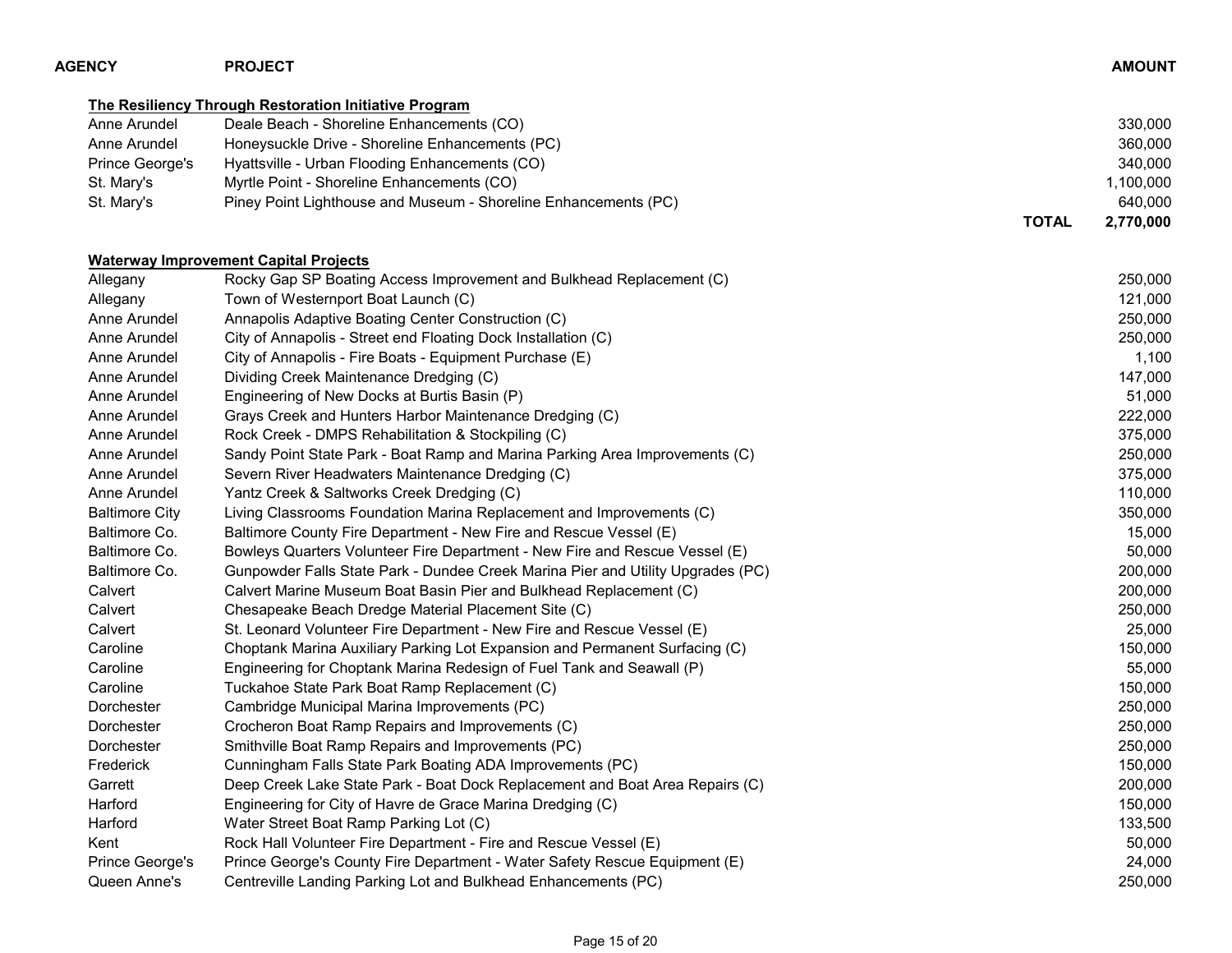| <b>AGENCY</b>         | <b>PROJECT</b>                                                                  |              | <b>AMOUNT</b> |
|-----------------------|---------------------------------------------------------------------------------|--------------|---------------|
|                       | <b>The Resiliency Through Restoration Initiative Program</b>                    |              |               |
| Anne Arundel          | Deale Beach - Shoreline Enhancements (CO)                                       |              | 330,000       |
| Anne Arundel          | Honeysuckle Drive - Shoreline Enhancements (PC)                                 |              | 360,000       |
| Prince George's       | Hyattsville - Urban Flooding Enhancements (CO)                                  |              | 340,000       |
| St. Mary's            | Myrtle Point - Shoreline Enhancements (CO)                                      |              | 1,100,000     |
| St. Mary's            | Piney Point Lighthouse and Museum - Shoreline Enhancements (PC)                 |              | 640,000       |
|                       |                                                                                 | <b>TOTAL</b> | 2,770,000     |
|                       | <b>Waterway Improvement Capital Projects</b>                                    |              |               |
| Allegany              | Rocky Gap SP Boating Access Improvement and Bulkhead Replacement (C)            |              | 250,000       |
| Allegany              | Town of Westernport Boat Launch (C)                                             |              | 121,000       |
| Anne Arundel          | Annapolis Adaptive Boating Center Construction (C)                              |              | 250,000       |
| Anne Arundel          | City of Annapolis - Street end Floating Dock Installation (C)                   |              | 250,000       |
| Anne Arundel          | City of Annapolis - Fire Boats - Equipment Purchase (E)                         |              | 1,100         |
| Anne Arundel          | Dividing Creek Maintenance Dredging (C)                                         |              | 147,000       |
| Anne Arundel          | Engineering of New Docks at Burtis Basin (P)                                    |              | 51,000        |
| Anne Arundel          | Grays Creek and Hunters Harbor Maintenance Dredging (C)                         |              | 222,000       |
| Anne Arundel          | Rock Creek - DMPS Rehabilitation & Stockpiling (C)                              |              | 375,000       |
| Anne Arundel          | Sandy Point State Park - Boat Ramp and Marina Parking Area Improvements (C)     |              | 250,000       |
| Anne Arundel          | Severn River Headwaters Maintenance Dredging (C)                                |              | 375,000       |
| Anne Arundel          | Yantz Creek & Saltworks Creek Dredging (C)                                      |              | 110,000       |
| <b>Baltimore City</b> | Living Classrooms Foundation Marina Replacement and Improvements (C)            |              | 350,000       |
| Baltimore Co.         | Baltimore County Fire Department - New Fire and Rescue Vessel (E)               |              | 15,000        |
| Baltimore Co.         | Bowleys Quarters Volunteer Fire Department - New Fire and Rescue Vessel (E)     |              | 50,000        |
| Baltimore Co.         | Gunpowder Falls State Park - Dundee Creek Marina Pier and Utility Upgrades (PC) |              | 200,000       |
| Calvert               | Calvert Marine Museum Boat Basin Pier and Bulkhead Replacement (C)              |              | 200,000       |
| Calvert               | Chesapeake Beach Dredge Material Placement Site (C)                             |              | 250,000       |
| Calvert               | St. Leonard Volunteer Fire Department - New Fire and Rescue Vessel (E)          |              | 25,000        |
| Caroline              | Choptank Marina Auxiliary Parking Lot Expansion and Permanent Surfacing (C)     |              | 150,000       |
| Caroline              | Engineering for Choptank Marina Redesign of Fuel Tank and Seawall (P)           |              | 55,000        |
| Caroline              | Tuckahoe State Park Boat Ramp Replacement (C)                                   |              | 150,000       |
| Dorchester            | Cambridge Municipal Marina Improvements (PC)                                    |              | 250,000       |
| Dorchester            | Crocheron Boat Ramp Repairs and Improvements (C)                                |              | 250,000       |
| Dorchester            | Smithville Boat Ramp Repairs and Improvements (PC)                              |              | 250,000       |
| Frederick             | Cunningham Falls State Park Boating ADA Improvements (PC)                       |              | 150,000       |
| Garrett               | Deep Creek Lake State Park - Boat Dock Replacement and Boat Area Repairs (C)    |              | 200,000       |
| Harford               | Engineering for City of Havre de Grace Marina Dredging (C)                      |              | 150,000       |
| Harford               | Water Street Boat Ramp Parking Lot (C)                                          |              | 133,500       |
| Kent                  | Rock Hall Volunteer Fire Department - Fire and Rescue Vessel (E)                |              | 50,000        |
| Prince George's       | Prince George's County Fire Department - Water Safety Rescue Equipment (E)      |              | 24,000        |
| Queen Anne's          | Centreville Landing Parking Lot and Bulkhead Enhancements (PC)                  |              | 250,000       |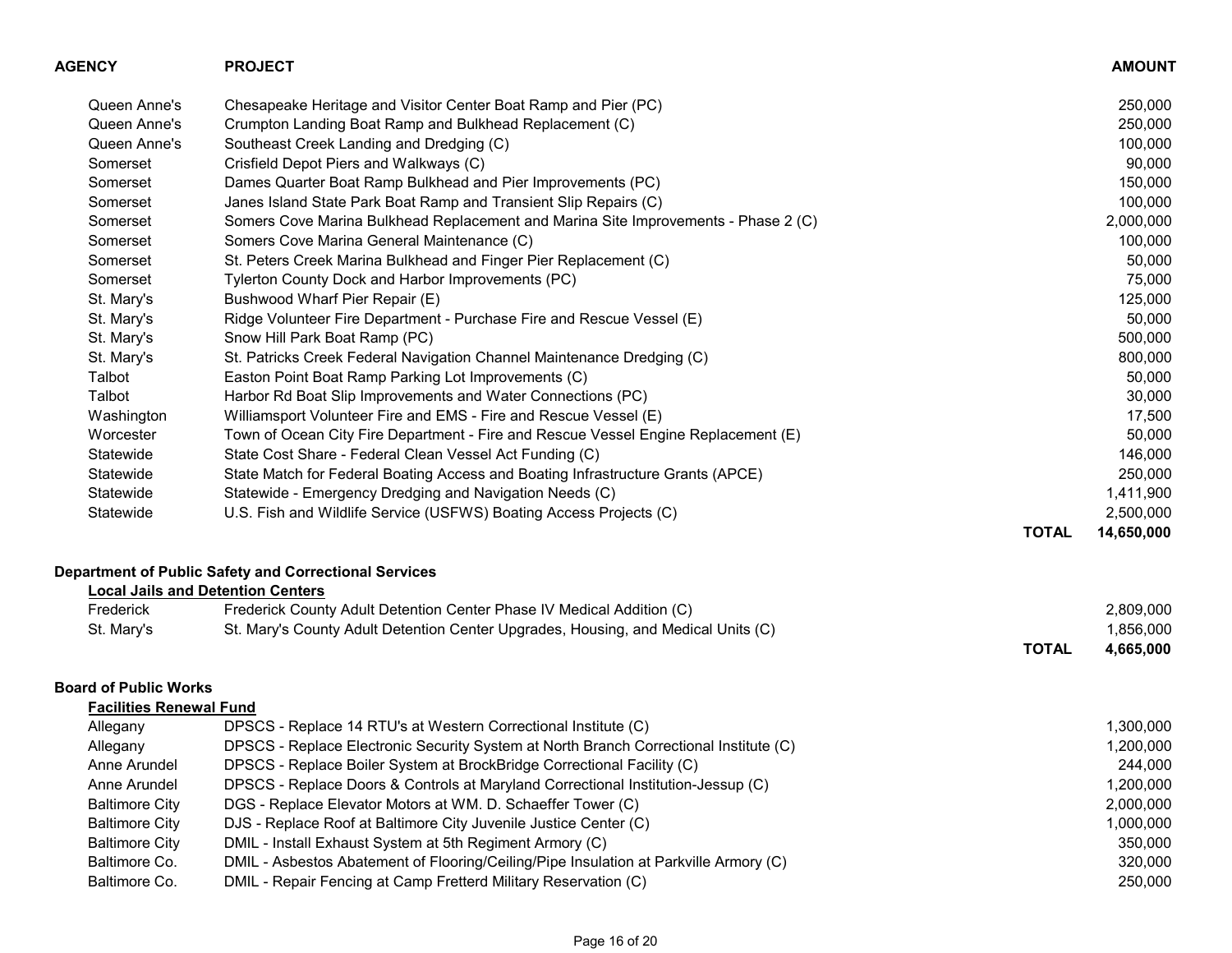| <b>AGENCY</b>                  | <b>PROJECT</b>                                                                        |              | <b>AMOUNT</b> |
|--------------------------------|---------------------------------------------------------------------------------------|--------------|---------------|
| Queen Anne's                   | Chesapeake Heritage and Visitor Center Boat Ramp and Pier (PC)                        |              | 250,000       |
| Queen Anne's                   | Crumpton Landing Boat Ramp and Bulkhead Replacement (C)                               |              | 250,000       |
| Queen Anne's                   | Southeast Creek Landing and Dredging (C)                                              |              | 100,000       |
| Somerset                       | Crisfield Depot Piers and Walkways (C)                                                |              | 90,000        |
| Somerset                       | Dames Quarter Boat Ramp Bulkhead and Pier Improvements (PC)                           |              | 150,000       |
| Somerset                       | Janes Island State Park Boat Ramp and Transient Slip Repairs (C)                      |              | 100,000       |
| Somerset                       | Somers Cove Marina Bulkhead Replacement and Marina Site Improvements - Phase 2 (C)    |              | 2,000,000     |
| Somerset                       | Somers Cove Marina General Maintenance (C)                                            |              | 100,000       |
| Somerset                       | St. Peters Creek Marina Bulkhead and Finger Pier Replacement (C)                      |              | 50,000        |
| Somerset                       | Tylerton County Dock and Harbor Improvements (PC)                                     |              | 75,000        |
| St. Mary's                     | Bushwood Wharf Pier Repair (E)                                                        |              | 125,000       |
| St. Mary's                     | Ridge Volunteer Fire Department - Purchase Fire and Rescue Vessel (E)                 |              | 50,000        |
| St. Mary's                     | Snow Hill Park Boat Ramp (PC)                                                         |              | 500,000       |
| St. Mary's                     | St. Patricks Creek Federal Navigation Channel Maintenance Dredging (C)                |              | 800,000       |
| Talbot                         | Easton Point Boat Ramp Parking Lot Improvements (C)                                   |              | 50,000        |
| Talbot                         | Harbor Rd Boat Slip Improvements and Water Connections (PC)                           |              | 30,000        |
| Washington                     | Williamsport Volunteer Fire and EMS - Fire and Rescue Vessel (E)                      |              | 17,500        |
| Worcester                      | Town of Ocean City Fire Department - Fire and Rescue Vessel Engine Replacement (E)    |              | 50,000        |
| Statewide                      | State Cost Share - Federal Clean Vessel Act Funding (C)                               |              | 146,000       |
| Statewide                      | State Match for Federal Boating Access and Boating Infrastructure Grants (APCE)       |              | 250,000       |
| Statewide                      | Statewide - Emergency Dredging and Navigation Needs (C)                               |              | 1,411,900     |
| Statewide                      | U.S. Fish and Wildlife Service (USFWS) Boating Access Projects (C)                    |              | 2,500,000     |
|                                |                                                                                       | <b>TOTAL</b> | 14,650,000    |
|                                | Department of Public Safety and Correctional Services                                 |              |               |
|                                | <b>Local Jails and Detention Centers</b>                                              |              |               |
| Frederick                      | Frederick County Adult Detention Center Phase IV Medical Addition (C)                 |              | 2,809,000     |
| St. Mary's                     | St. Mary's County Adult Detention Center Upgrades, Housing, and Medical Units (C)     |              | 1,856,000     |
|                                |                                                                                       | <b>TOTAL</b> | 4,665,000     |
| <b>Board of Public Works</b>   |                                                                                       |              |               |
| <b>Facilities Renewal Fund</b> |                                                                                       |              |               |
| Allegany                       | DPSCS - Replace 14 RTU's at Western Correctional Institute (C)                        |              | 1,300,000     |
| Allegany                       | DPSCS - Replace Electronic Security System at North Branch Correctional Institute (C) |              | 1,200,000     |
| Anne Arundel                   | DPSCS - Replace Boiler System at BrockBridge Correctional Facility (C)                |              | 244,000       |
| Anne Arundel                   | DPSCS - Replace Doors & Controls at Maryland Correctional Institution-Jessup (C)      |              | 1,200,000     |
| <b>Baltimore City</b>          | DGS - Replace Elevator Motors at WM. D. Schaeffer Tower (C)                           |              | 2,000,000     |
| <b>Baltimore City</b>          | DJS - Replace Roof at Baltimore City Juvenile Justice Center (C)                      |              | 1,000,000     |
| <b>Baltimore City</b>          | DMIL - Install Exhaust System at 5th Regiment Armory (C)                              |              | 350,000       |
| Baltimore Co.                  | DMIL - Asbestos Abatement of Flooring/Ceiling/Pipe Insulation at Parkville Armory (C) |              | 320,000       |
| Baltimore Co.                  | DMIL - Repair Fencing at Camp Fretterd Military Reservation (C)                       |              | 250,000       |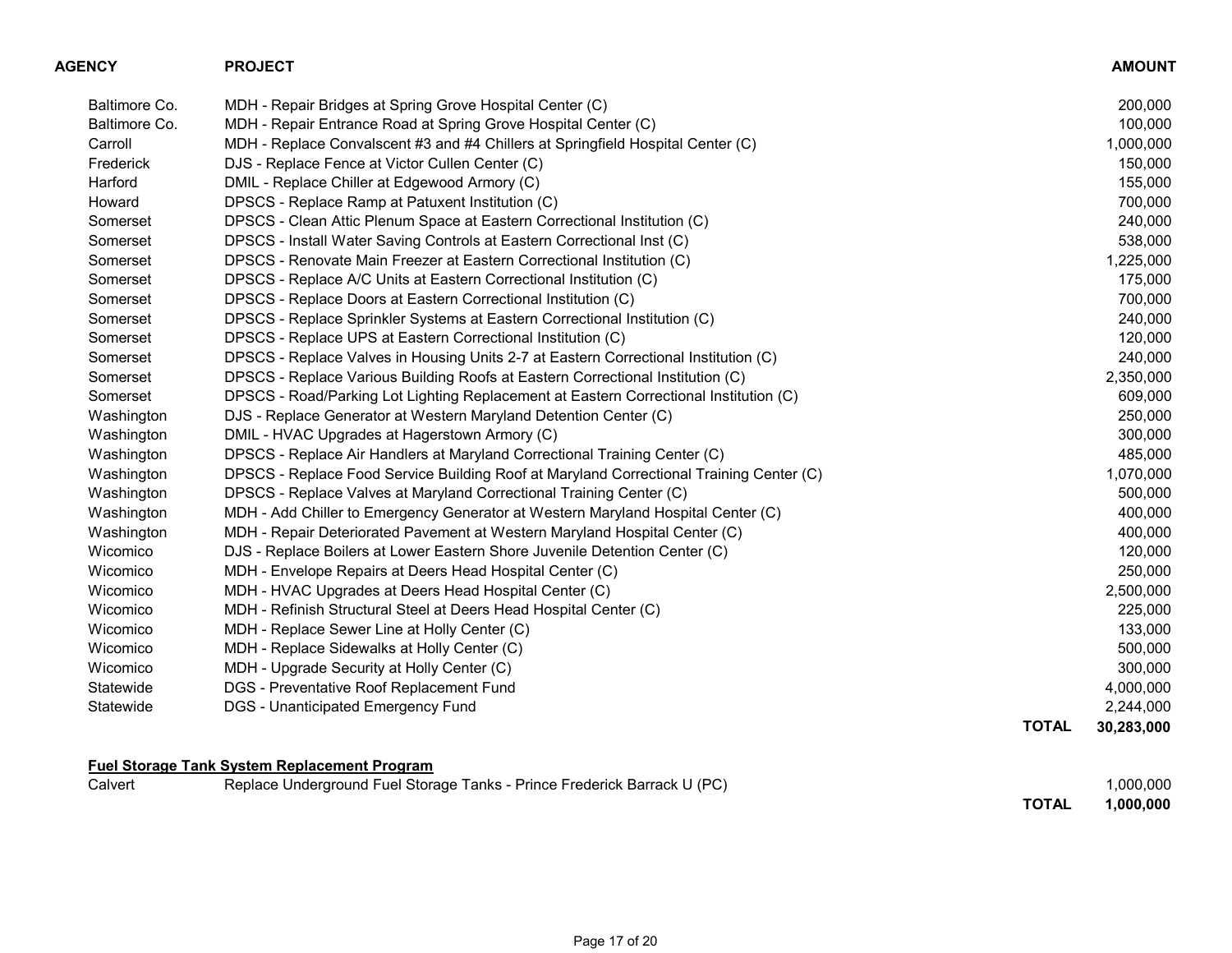| AGENCY        | <b>PROJECT</b>                                                                          |              | <b>AMOUNT</b> |
|---------------|-----------------------------------------------------------------------------------------|--------------|---------------|
| Baltimore Co. | MDH - Repair Bridges at Spring Grove Hospital Center (C)                                |              | 200,000       |
| Baltimore Co. | MDH - Repair Entrance Road at Spring Grove Hospital Center (C)                          |              | 100,000       |
| Carroll       | MDH - Replace Convalscent #3 and #4 Chillers at Springfield Hospital Center (C)         |              | 1,000,000     |
| Frederick     | DJS - Replace Fence at Victor Cullen Center (C)                                         |              | 150,000       |
| Harford       | DMIL - Replace Chiller at Edgewood Armory (C)                                           |              | 155,000       |
| Howard        | DPSCS - Replace Ramp at Patuxent Institution (C)                                        |              | 700,000       |
| Somerset      | DPSCS - Clean Attic Plenum Space at Eastern Correctional Institution (C)                |              | 240,000       |
| Somerset      | DPSCS - Install Water Saving Controls at Eastern Correctional Inst (C)                  |              | 538,000       |
| Somerset      | DPSCS - Renovate Main Freezer at Eastern Correctional Institution (C)                   |              | 1,225,000     |
| Somerset      | DPSCS - Replace A/C Units at Eastern Correctional Institution (C)                       |              | 175,000       |
| Somerset      | DPSCS - Replace Doors at Eastern Correctional Institution (C)                           |              | 700,000       |
| Somerset      | DPSCS - Replace Sprinkler Systems at Eastern Correctional Institution (C)               |              | 240,000       |
| Somerset      | DPSCS - Replace UPS at Eastern Correctional Institution (C)                             |              | 120,000       |
| Somerset      | DPSCS - Replace Valves in Housing Units 2-7 at Eastern Correctional Institution (C)     |              | 240,000       |
| Somerset      | DPSCS - Replace Various Building Roofs at Eastern Correctional Institution (C)          |              | 2,350,000     |
| Somerset      | DPSCS - Road/Parking Lot Lighting Replacement at Eastern Correctional Institution (C)   |              | 609,000       |
| Washington    | DJS - Replace Generator at Western Maryland Detention Center (C)                        |              | 250,000       |
| Washington    | DMIL - HVAC Upgrades at Hagerstown Armory (C)                                           |              | 300,000       |
| Washington    | DPSCS - Replace Air Handlers at Maryland Correctional Training Center (C)               |              | 485,000       |
| Washington    | DPSCS - Replace Food Service Building Roof at Maryland Correctional Training Center (C) |              | 1,070,000     |
| Washington    | DPSCS - Replace Valves at Maryland Correctional Training Center (C)                     |              | 500,000       |
| Washington    | MDH - Add Chiller to Emergency Generator at Western Maryland Hospital Center (C)        |              | 400,000       |
| Washington    | MDH - Repair Deteriorated Pavement at Western Maryland Hospital Center (C)              |              | 400,000       |
| Wicomico      | DJS - Replace Boilers at Lower Eastern Shore Juvenile Detention Center (C)              |              | 120,000       |
| Wicomico      | MDH - Envelope Repairs at Deers Head Hospital Center (C)                                |              | 250,000       |
| Wicomico      | MDH - HVAC Upgrades at Deers Head Hospital Center (C)                                   |              | 2,500,000     |
| Wicomico      | MDH - Refinish Structural Steel at Deers Head Hospital Center (C)                       |              | 225,000       |
| Wicomico      | MDH - Replace Sewer Line at Holly Center (C)                                            |              | 133,000       |
| Wicomico      | MDH - Replace Sidewalks at Holly Center (C)                                             |              | 500,000       |
| Wicomico      | MDH - Upgrade Security at Holly Center (C)                                              |              | 300,000       |
| Statewide     | DGS - Preventative Roof Replacement Fund                                                |              | 4,000,000     |
| Statewide     | <b>DGS - Unanticipated Emergency Fund</b>                                               |              | 2,244,000     |
|               |                                                                                         | <b>TOTAL</b> | 30,283,000    |
|               | <b>Fuel Storage Tank System Replacement Program</b>                                     |              |               |
| Calvert       | Replace Underground Fuel Storage Tanks - Prince Frederick Barrack U (PC)                |              | 1,000,000     |

TOTAL 1,000,000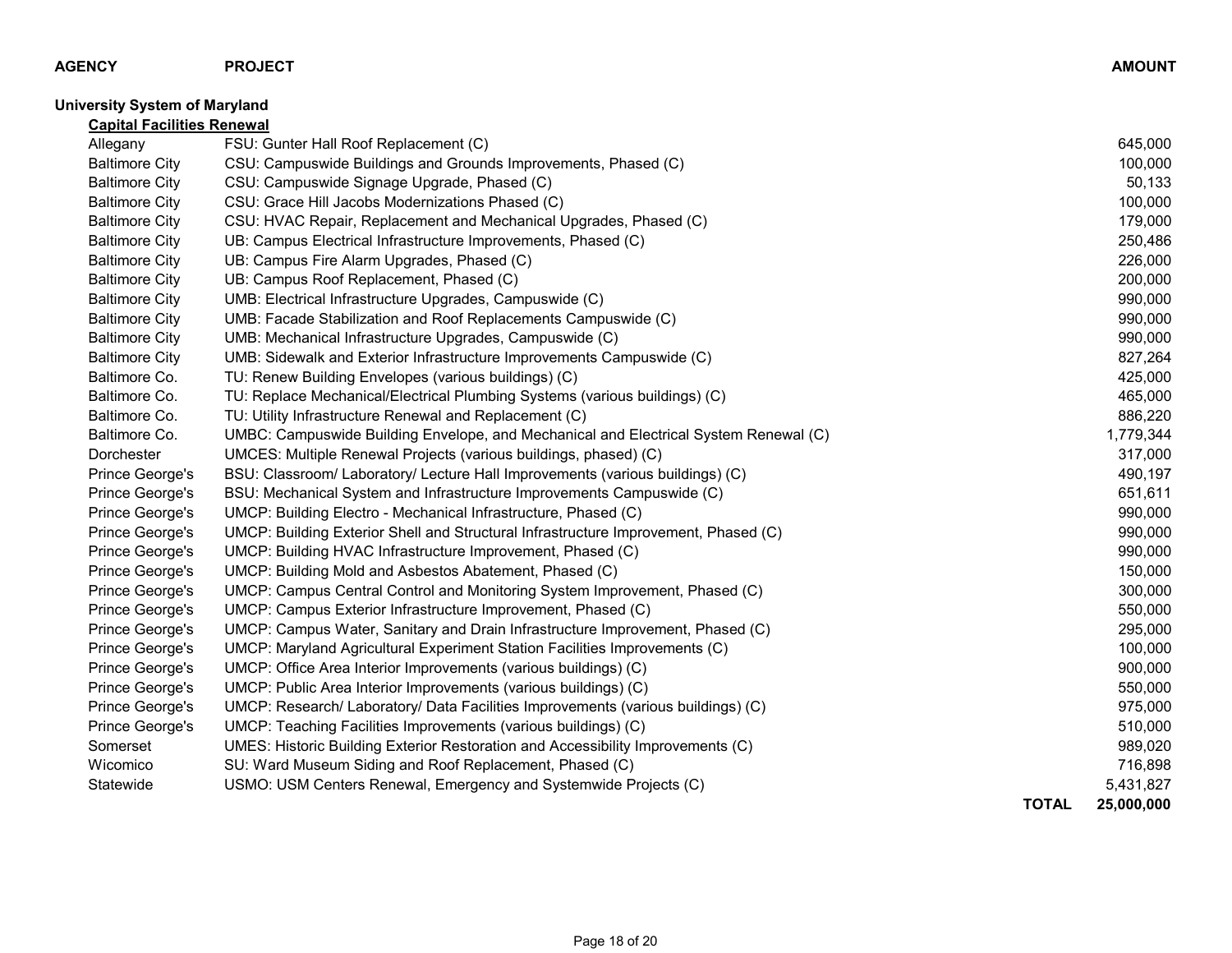## University System of Maryland

| <b>Capital Facilities Renewal</b> |                                                                                      |              |            |
|-----------------------------------|--------------------------------------------------------------------------------------|--------------|------------|
| Allegany                          | FSU: Gunter Hall Roof Replacement (C)                                                |              | 645,000    |
| <b>Baltimore City</b>             | CSU: Campuswide Buildings and Grounds Improvements, Phased (C)                       |              | 100,000    |
| <b>Baltimore City</b>             | CSU: Campuswide Signage Upgrade, Phased (C)                                          |              | 50,133     |
| <b>Baltimore City</b>             | CSU: Grace Hill Jacobs Modernizations Phased (C)                                     |              | 100,000    |
| <b>Baltimore City</b>             | CSU: HVAC Repair, Replacement and Mechanical Upgrades, Phased (C)                    |              | 179,000    |
| <b>Baltimore City</b>             | UB: Campus Electrical Infrastructure Improvements, Phased (C)                        |              | 250,486    |
| <b>Baltimore City</b>             | UB: Campus Fire Alarm Upgrades, Phased (C)                                           |              | 226,000    |
| <b>Baltimore City</b>             | UB: Campus Roof Replacement, Phased (C)                                              |              | 200,000    |
| <b>Baltimore City</b>             | UMB: Electrical Infrastructure Upgrades, Campuswide (C)                              |              | 990,000    |
| <b>Baltimore City</b>             | UMB: Facade Stabilization and Roof Replacements Campuswide (C)                       |              | 990,000    |
| <b>Baltimore City</b>             | UMB: Mechanical Infrastructure Upgrades, Campuswide (C)                              |              | 990,000    |
| <b>Baltimore City</b>             | UMB: Sidewalk and Exterior Infrastructure Improvements Campuswide (C)                |              | 827,264    |
| Baltimore Co.                     | TU: Renew Building Envelopes (various buildings) (C)                                 |              | 425,000    |
| Baltimore Co.                     | TU: Replace Mechanical/Electrical Plumbing Systems (various buildings) (C)           |              | 465,000    |
| Baltimore Co.                     | TU: Utility Infrastructure Renewal and Replacement (C)                               |              | 886,220    |
| Baltimore Co.                     | UMBC: Campuswide Building Envelope, and Mechanical and Electrical System Renewal (C) |              | 1,779,344  |
| Dorchester                        | UMCES: Multiple Renewal Projects (various buildings, phased) (C)                     |              | 317,000    |
| Prince George's                   | BSU: Classroom/ Laboratory/ Lecture Hall Improvements (various buildings) (C)        |              | 490,197    |
| Prince George's                   | BSU: Mechanical System and Infrastructure Improvements Campuswide (C)                |              | 651,611    |
| Prince George's                   | UMCP: Building Electro - Mechanical Infrastructure, Phased (C)                       |              | 990,000    |
| Prince George's                   | UMCP: Building Exterior Shell and Structural Infrastructure Improvement, Phased (C)  |              | 990,000    |
| Prince George's                   | UMCP: Building HVAC Infrastructure Improvement, Phased (C)                           |              | 990,000    |
| Prince George's                   | UMCP: Building Mold and Asbestos Abatement, Phased (C)                               |              | 150,000    |
| Prince George's                   | UMCP: Campus Central Control and Monitoring System Improvement, Phased (C)           |              | 300,000    |
| Prince George's                   | UMCP: Campus Exterior Infrastructure Improvement, Phased (C)                         |              | 550,000    |
| Prince George's                   | UMCP: Campus Water, Sanitary and Drain Infrastructure Improvement, Phased (C)        |              | 295,000    |
| Prince George's                   | UMCP: Maryland Agricultural Experiment Station Facilities Improvements (C)           |              | 100,000    |
| Prince George's                   | UMCP: Office Area Interior Improvements (various buildings) (C)                      |              | 900,000    |
| Prince George's                   | UMCP: Public Area Interior Improvements (various buildings) (C)                      |              | 550,000    |
| Prince George's                   | UMCP: Research/ Laboratory/ Data Facilities Improvements (various buildings) (C)     |              | 975,000    |
| Prince George's                   | UMCP: Teaching Facilities Improvements (various buildings) (C)                       |              | 510,000    |
| Somerset                          | UMES: Historic Building Exterior Restoration and Accessibility Improvements (C)      |              | 989,020    |
| Wicomico                          | SU: Ward Museum Siding and Roof Replacement, Phased (C)                              |              | 716,898    |
| Statewide                         | USMO: USM Centers Renewal, Emergency and Systemwide Projects (C)                     |              | 5,431,827  |
|                                   |                                                                                      | <b>TOTAL</b> | 25,000,000 |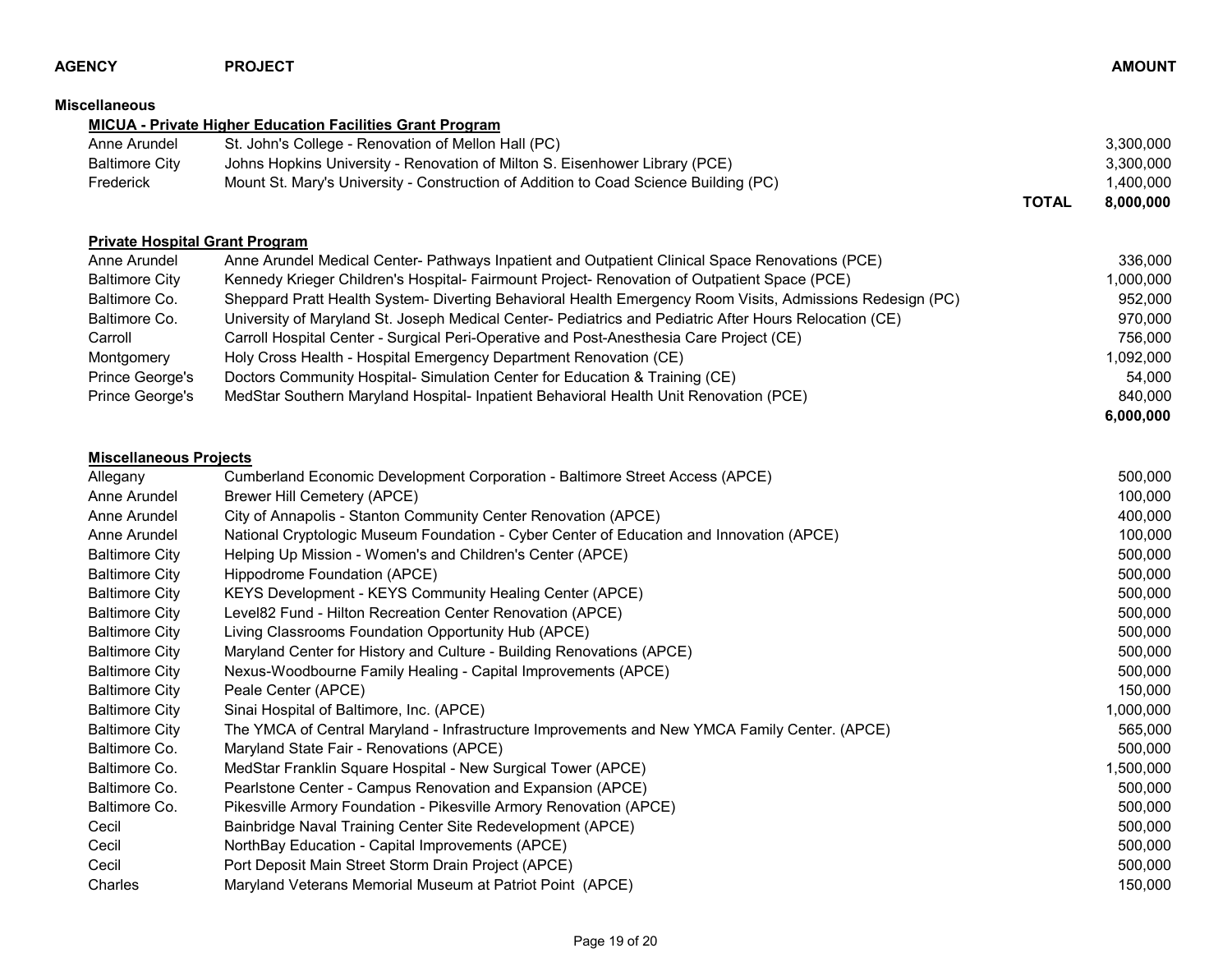| AGENCY                        | <b>PROJECT</b>                                                                                            |              | <b>AMOUNT</b> |
|-------------------------------|-----------------------------------------------------------------------------------------------------------|--------------|---------------|
| Miscellaneous                 |                                                                                                           |              |               |
|                               | <b>MICUA - Private Higher Education Facilities Grant Program</b>                                          |              |               |
| Anne Arundel                  | St. John's College - Renovation of Mellon Hall (PC)                                                       |              | 3,300,000     |
| <b>Baltimore City</b>         | Johns Hopkins University - Renovation of Milton S. Eisenhower Library (PCE)                               |              | 3,300,000     |
| Frederick                     | Mount St. Mary's University - Construction of Addition to Coad Science Building (PC)                      |              | 1,400,000     |
|                               |                                                                                                           | <b>TOTAL</b> | 8,000,000     |
|                               | <b>Private Hospital Grant Program</b>                                                                     |              |               |
| Anne Arundel                  | Anne Arundel Medical Center- Pathways Inpatient and Outpatient Clinical Space Renovations (PCE)           |              | 336,000       |
| <b>Baltimore City</b>         | Kennedy Krieger Children's Hospital- Fairmount Project- Renovation of Outpatient Space (PCE)              |              | 1,000,000     |
| Baltimore Co.                 | Sheppard Pratt Health System- Diverting Behavioral Health Emergency Room Visits, Admissions Redesign (PC) |              | 952,000       |
| Baltimore Co.                 | University of Maryland St. Joseph Medical Center- Pediatrics and Pediatric After Hours Relocation (CE)    |              | 970,000       |
| Carroll                       | Carroll Hospital Center - Surgical Peri-Operative and Post-Anesthesia Care Project (CE)                   |              | 756,000       |
| Montgomery                    | Holy Cross Health - Hospital Emergency Department Renovation (CE)                                         |              | 1,092,000     |
| Prince George's               | Doctors Community Hospital-Simulation Center for Education & Training (CE)                                |              | 54,000        |
| Prince George's               | MedStar Southern Maryland Hospital- Inpatient Behavioral Health Unit Renovation (PCE)                     |              | 840,000       |
|                               |                                                                                                           |              | 6,000,000     |
| <b>Miscellaneous Projects</b> |                                                                                                           |              |               |
| Allegany                      | Cumberland Economic Development Corporation - Baltimore Street Access (APCE)                              |              | 500,000       |
| Anne Arundel                  | <b>Brewer Hill Cemetery (APCE)</b>                                                                        |              | 100,000       |
| Anne Arundel                  | City of Annapolis - Stanton Community Center Renovation (APCE)                                            |              | 400,000       |
| Anne Arundel                  | National Cryptologic Museum Foundation - Cyber Center of Education and Innovation (APCE)                  |              | 100,000       |
| <b>Baltimore City</b>         | Helping Up Mission - Women's and Children's Center (APCE)                                                 |              | 500,000       |
| <b>Baltimore City</b>         | Hippodrome Foundation (APCE)                                                                              |              | 500,000       |
| <b>Baltimore City</b>         | KEYS Development - KEYS Community Healing Center (APCE)                                                   |              | 500,000       |
| <b>Baltimore City</b>         | Level82 Fund - Hilton Recreation Center Renovation (APCE)                                                 |              | 500,000       |
| <b>Baltimore City</b>         | Living Classrooms Foundation Opportunity Hub (APCE)                                                       |              | 500,000       |
| <b>Baltimore City</b>         | Maryland Center for History and Culture - Building Renovations (APCE)                                     |              | 500,000       |
| <b>Baltimore City</b>         | Nexus-Woodbourne Family Healing - Capital Improvements (APCE)                                             |              | 500,000       |
| <b>Baltimore City</b>         | Peale Center (APCE)                                                                                       |              | 150,000       |
| <b>Baltimore City</b>         | Sinai Hospital of Baltimore, Inc. (APCE)                                                                  |              | 1,000,000     |
| <b>Baltimore City</b>         | The YMCA of Central Maryland - Infrastructure Improvements and New YMCA Family Center. (APCE)             |              | 565,000       |
| Baltimore Co.                 | Maryland State Fair - Renovations (APCE)                                                                  |              | 500,000       |
| Baltimore Co.                 | MedStar Franklin Square Hospital - New Surgical Tower (APCE)                                              |              | 1,500,000     |
| Baltimore Co.                 | Pearlstone Center - Campus Renovation and Expansion (APCE)                                                |              | 500,000       |
| Baltimore Co.                 | Pikesville Armory Foundation - Pikesville Armory Renovation (APCE)                                        |              | 500,000       |
| Cecil                         | Bainbridge Naval Training Center Site Redevelopment (APCE)                                                |              | 500,000       |
| Cecil                         | NorthBay Education - Capital Improvements (APCE)                                                          |              | 500,000       |
| Cecil                         | Port Deposit Main Street Storm Drain Project (APCE)                                                       |              | 500,000       |
| Charles                       | Maryland Veterans Memorial Museum at Patriot Point (APCE)                                                 |              | 150,000       |